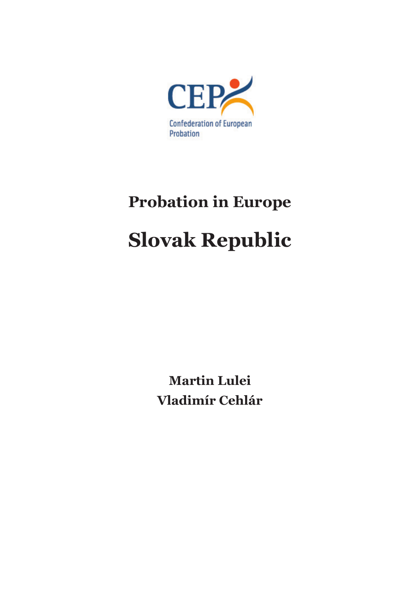

# **Probation in Europe Slovak Republic**

**Martin Lulei Vladimír Cehlár**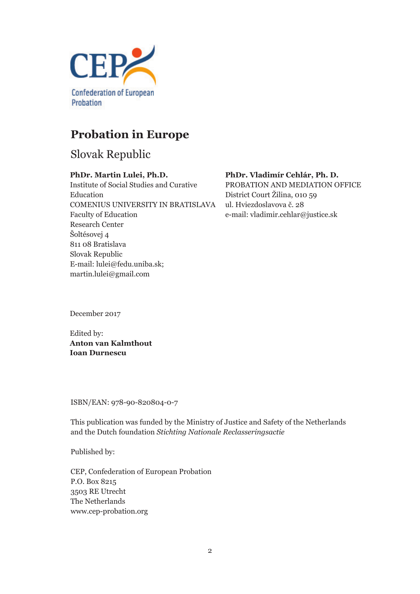

## **Probation in Europe**

Slovak Republic

#### **PhDr. Martin Lulei, Ph.D.**

Institute of Social Studies and Curative Education COMENIUS UNIVERSITY IN BRATISLAVA Faculty of Education Research Center Šoltésovej 4 811 08 Bratislava Slovak Republic E-mail: lulei@fedu.uniba.sk; martin.lulei@gmail.com

#### **PhDr. Vladimír Cehlár, Ph. D.**

PROBATION AND MEDIATION OFFICE District Court Žilina, 010 59 ul. Hviezdoslavova č. 28 e-mail: vladimir.cehlar@justice.sk

December 2017

Edited by: **Anton van Kalmthout Ioan Durnescu**

ISBN/EAN: 978-90-820804-0-7

This publication was funded by the Ministry of Justice and Safety of the Netherlands and the Dutch foundation *Stichting Nationale Reclasseringsactie*

Published by:

CEP, Confederation of European Probation P.O. Box 8215 3503 RE Utrecht The Netherlands www.cep-probation.org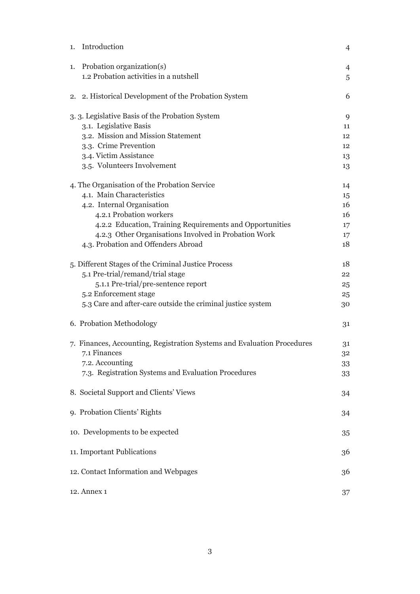|    | 1. Introduction                                                         | $\overline{4}$ |
|----|-------------------------------------------------------------------------|----------------|
| 1. | Probation organization(s)                                               | $\overline{4}$ |
|    | 1.2 Probation activities in a nutshell                                  | 5              |
|    | 2. 2. Historical Development of the Probation System                    | 6              |
|    | 3. 3. Legislative Basis of the Probation System                         | 9              |
|    | 3.1. Legislative Basis                                                  | 11             |
|    | 3.2. Mission and Mission Statement                                      | 12             |
|    | 3.3. Crime Prevention                                                   | 12             |
|    | 3.4. Victim Assistance                                                  | 13             |
|    | 3.5. Volunteers Involvement                                             | 13             |
|    | 4. The Organisation of the Probation Service                            | 14             |
|    | 4.1. Main Characteristics                                               | 15             |
|    | 4.2. Internal Organisation                                              | 16             |
|    | 4.2.1 Probation workers                                                 | 16             |
|    | 4.2.2 Education, Training Requirements and Opportunities                | 17             |
|    | 4.2.3 Other Organisations Involved in Probation Work                    | 17             |
|    | 4.3. Probation and Offenders Abroad                                     | 18             |
|    | 5. Different Stages of the Criminal Justice Process                     | 18             |
|    | 5.1 Pre-trial/remand/trial stage                                        | 22             |
|    | 5.1.1 Pre-trial/pre-sentence report                                     | 25             |
|    | 5.2 Enforcement stage                                                   | 25             |
|    | 5.3 Care and after-care outside the criminal justice system             | 30             |
|    | 6. Probation Methodology                                                | 31             |
|    | 7. Finances, Accounting, Registration Systems and Evaluation Procedures | 31             |
|    | 7.1 Finances                                                            | 32             |
|    | 7.2. Accounting                                                         | 33             |
|    | 7.3. Registration Systems and Evaluation Procedures                     | 33             |
|    | 8. Societal Support and Clients' Views                                  | 34             |
|    | 9. Probation Clients' Rights                                            | 34             |
|    | 10. Developments to be expected                                         | 35             |
|    | 11. Important Publications                                              | 36             |
|    | 12. Contact Information and Webpages                                    | 36             |
|    | 12. Annex 1                                                             | 37             |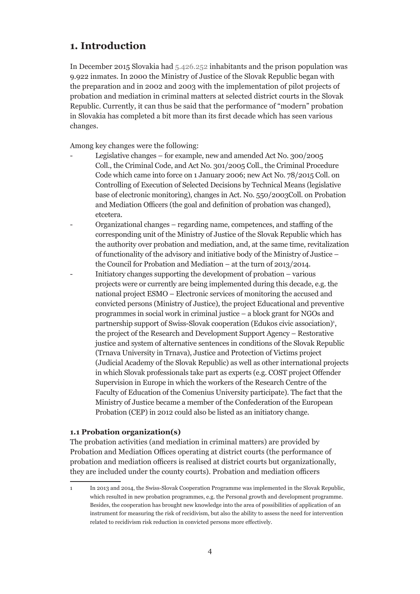## **1. Introduction**

In December 2015 Slovakia had 5.426.252 inhabitants and the prison population was 9.922 inmates. In 2000 the Ministry of Justice of the Slovak Republic began with the preparation and in 2002 and 2003 with the implementation of pilot projects of probation and mediation in criminal matters at selected district courts in the Slovak Republic. Currently, it can thus be said that the performance of "modern" probation in Slovakia has completed a bit more than its first decade which has seen various changes.

Among key changes were the following:

- Legislative changes for example, new and amended Act No. 300/2005 Coll., the Criminal Code, and Act No. 301/2005 Coll., the Criminal Procedure Code which came into force on 1 January 2006; new Act No. 78/2015 Coll. on Controlling of Execution of Selected Decisions by Technical Means (legislative base of electronic monitoring), changes in Act. No. 550/2003Coll. on Probation and Mediation Officers (the goal and definition of probation was changed), etcetera.
- Organizational changes regarding name, competences, and staffing of the corresponding unit of the Ministry of Justice of the Slovak Republic which has the authority over probation and mediation, and, at the same time, revitalization of functionality of the advisory and initiative body of the Ministry of Justice – the Council for Probation and Mediation – at the turn of 2013/2014.
- Initiatory changes supporting the development of probation various projects were or currently are being implemented during this decade, e.g. the national project ESMO – Electronic services of monitoring the accused and convicted persons (Ministry of Justice), the project Educational and preventive programmes in social work in criminal justice – a block grant for NGOs and partnership support of Swiss-Slovak cooperation (Edukos civic association)<sup>1</sup>, the project of the Research and Development Support Agency – Restorative justice and system of alternative sentences in conditions of the Slovak Republic (Trnava University in Trnava), Justice and Protection of Victims project (Judicial Academy of the Slovak Republic) as well as other international projects in which Slovak professionals take part as experts (e.g. COST project Offender Supervision in Europe in which the workers of the Research Centre of the Faculty of Education of the Comenius University participate). The fact that the Ministry of Justice became a member of the Confederation of the European Probation (CEP) in 2012 could also be listed as an initiatory change.

#### **1.1 Probation organization(s)**

The probation activities (and mediation in criminal matters) are provided by Probation and Mediation Offices operating at district courts (the performance of probation and mediation officers is realised at district courts but organizationally, they are included under the county courts). Probation and mediation officers

<sup>1</sup> In 2013 and 2014, the Swiss-Slovak Cooperation Programme was implemented in the Slovak Republic, which resulted in new probation programmes, e.g. the Personal growth and development programme. Besides, the cooperation has brought new knowledge into the area of possibilities of application of an instrument for measuring the risk of recidivism, but also the ability to assess the need for intervention related to recidivism risk reduction in convicted persons more effectively.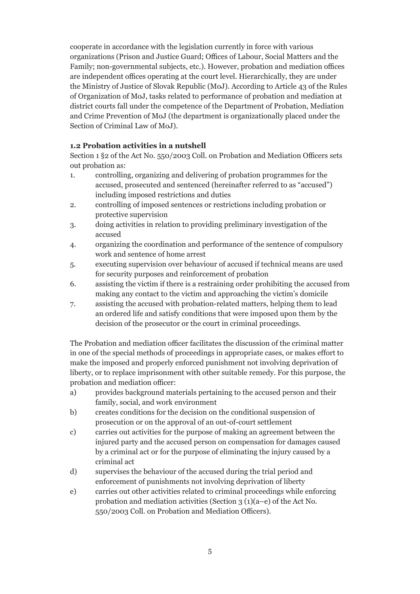cooperate in accordance with the legislation currently in force with various organizations (Prison and Justice Guard; Offices of Labour, Social Matters and the Family; non-governmental subjects, etc.). However, probation and mediation offices are independent offices operating at the court level. Hierarchically, they are under the Ministry of Justice of Slovak Republic (MoJ). According to Article 43 of the Rules of Organization of MoJ, tasks related to performance of probation and mediation at district courts fall under the competence of the Department of Probation, Mediation and Crime Prevention of MoJ (the department is organizationally placed under the Section of Criminal Law of MoJ).

#### **1.2 Probation activities in a nutshell**

Section 1 §2 of the Act No. 550/2003 Coll. on Probation and Mediation Officers sets out probation as:

- 1. controlling, organizing and delivering of probation programmes for the accused, prosecuted and sentenced (hereinafter referred to as "accused") including imposed restrictions and duties
- 2. controlling of imposed sentences or restrictions including probation or protective supervision
- 3. doing activities in relation to providing preliminary investigation of the accused
- 4. organizing the coordination and performance of the sentence of compulsory work and sentence of home arrest
- 5. executing supervision over behaviour of accused if technical means are used for security purposes and reinforcement of probation
- 6. assisting the victim if there is a restraining order prohibiting the accused from making any contact to the victim and approaching the victim's domicile
- 7. assisting the accused with probation-related matters, helping them to lead an ordered life and satisfy conditions that were imposed upon them by the decision of the prosecutor or the court in criminal proceedings.

The Probation and mediation officer facilitates the discussion of the criminal matter in one of the special methods of proceedings in appropriate cases, or makes effort to make the imposed and properly enforced punishment not involving deprivation of liberty, or to replace imprisonment with other suitable remedy. For this purpose, the probation and mediation officer:

- a) provides background materials pertaining to the accused person and their family, social, and work environment
- b) creates conditions for the decision on the conditional suspension of prosecution or on the approval of an out-of-court settlement
- c) carries out activities for the purpose of making an agreement between the injured party and the accused person on compensation for damages caused by a criminal act or for the purpose of eliminating the injury caused by a criminal act
- d) supervises the behaviour of the accused during the trial period and enforcement of punishments not involving deprivation of liberty
- e) carries out other activities related to criminal proceedings while enforcing probation and mediation activities (Section 3 (1)(a–e) of the Act No. 550/2003 Coll. on Probation and Mediation Officers).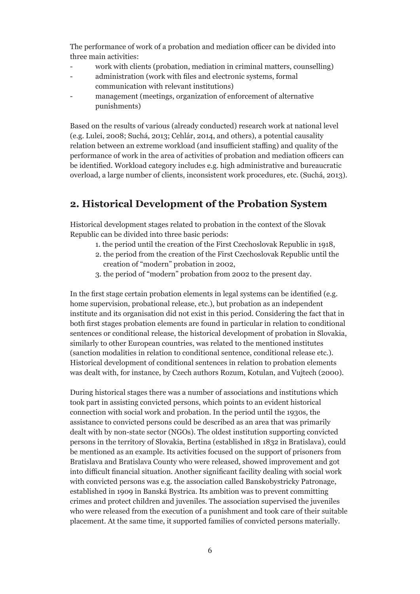The performance of work of a probation and mediation officer can be divided into three main activities:

- work with clients (probation, mediation in criminal matters, counselling)
- administration (work with files and electronic systems, formal communication with relevant institutions)
- management (meetings, organization of enforcement of alternative punishments)

Based on the results of various (already conducted) research work at national level (e.g. Lulei, 2008; Suchá, 2013; Cehlár, 2014, and others), a potential causality relation between an extreme workload (and insufficient staffing) and quality of the performance of work in the area of activities of probation and mediation officers can be identified. Workload category includes e.g. high administrative and bureaucratic overload, a large number of clients, inconsistent work procedures, etc. (Suchá, 2013).

## **2. Historical Development of the Probation System**

Historical development stages related to probation in the context of the Slovak Republic can be divided into three basic periods:

- 1. the period until the creation of the First Czechoslovak Republic in 1918,
- 2. the period from the creation of the First Czechoslovak Republic until the creation of "modern" probation in 2002,
- 3. the period of "modern" probation from 2002 to the present day.

In the first stage certain probation elements in legal systems can be identified (e.g. home supervision, probational release, etc.), but probation as an independent institute and its organisation did not exist in this period. Considering the fact that in both first stages probation elements are found in particular in relation to conditional sentences or conditional release, the historical development of probation in Slovakia, similarly to other European countries, was related to the mentioned institutes (sanction modalities in relation to conditional sentence, conditional release etc.). Historical development of conditional sentences in relation to probation elements was dealt with, for instance, by Czech authors Rozum, Kotulan, and Vujtech (2000).

During historical stages there was a number of associations and institutions which took part in assisting convicted persons, which points to an evident historical connection with social work and probation. In the period until the 1930s, the assistance to convicted persons could be described as an area that was primarily dealt with by non-state sector (NGOs). The oldest institution supporting convicted persons in the territory of Slovakia, Bertina (established in 1832 in Bratislava), could be mentioned as an example. Its activities focused on the support of prisoners from Bratislava and Bratislava County who were released, showed improvement and got into difficult financial situation. Another significant facility dealing with social work with convicted persons was e.g. the association called Banskobystricky Patronage, established in 1909 in Banská Bystrica. Its ambition was to prevent committing crimes and protect children and juveniles. The association supervised the juveniles who were released from the execution of a punishment and took care of their suitable placement. At the same time, it supported families of convicted persons materially.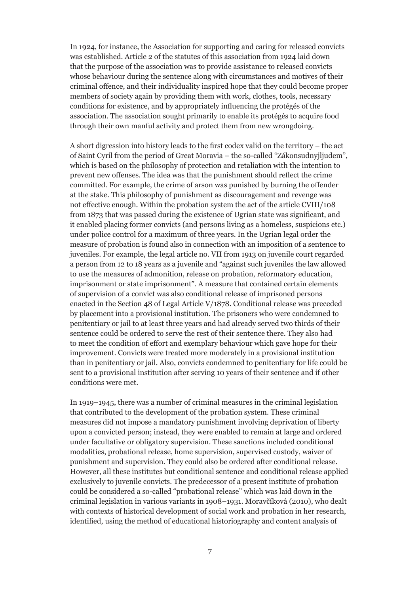In 1924, for instance, the Association for supporting and caring for released convicts was established. Article 2 of the statutes of this association from 1924 laid down that the purpose of the association was to provide assistance to released convicts whose behaviour during the sentence along with circumstances and motives of their criminal offence, and their individuality inspired hope that they could become proper members of society again by providing them with work, clothes, tools, necessary conditions for existence, and by appropriately influencing the protégés of the association. The association sought primarily to enable its protégés to acquire food through their own manful activity and protect them from new wrongdoing.

A short digression into history leads to the first codex valid on the territory – the act of Saint Cyril from the period of Great Moravia – the so-called "Zákonsudnyjljudem", which is based on the philosophy of protection and retaliation with the intention to prevent new offenses. The idea was that the punishment should reflect the crime committed. For example, the crime of arson was punished by burning the offender at the stake. This philosophy of punishment as discouragement and revenge was not effective enough. Within the probation system the act of the article CVIII/108 from 1873 that was passed during the existence of Ugrian state was significant, and it enabled placing former convicts (and persons living as a homeless, suspicions etc.) under police control for a maximum of three years. In the Ugrian legal order the measure of probation is found also in connection with an imposition of a sentence to juveniles. For example, the legal article no. VII from 1913 on juvenile court regarded a person from 12 to 18 years as a juvenile and "against such juveniles the law allowed to use the measures of admonition, release on probation, reformatory education, imprisonment or state imprisonment". A measure that contained certain elements of supervision of a convict was also conditional release of imprisoned persons enacted in the Section 48 of Legal Article V/1878. Conditional release was preceded by placement into a provisional institution. The prisoners who were condemned to penitentiary or jail to at least three years and had already served two thirds of their sentence could be ordered to serve the rest of their sentence there. They also had to meet the condition of effort and exemplary behaviour which gave hope for their improvement. Convicts were treated more moderately in a provisional institution than in penitentiary or jail. Also, convicts condemned to penitentiary for life could be sent to a provisional institution after serving 10 years of their sentence and if other conditions were met.

In 1919–1945, there was a number of criminal measures in the criminal legislation that contributed to the development of the probation system. These criminal measures did not impose a mandatory punishment involving deprivation of liberty upon a convicted person; instead, they were enabled to remain at large and ordered under facultative or obligatory supervision. These sanctions included conditional modalities, probational release, home supervision, supervised custody, waiver of punishment and supervision. They could also be ordered after conditional release. However, all these institutes but conditional sentence and conditional release applied exclusively to juvenile convicts. The predecessor of a present institute of probation could be considered a so-called "probational release" which was laid down in the criminal legislation in various variants in 1908–1931. Moravčíková (2010), who dealt with contexts of historical development of social work and probation in her research, identified, using the method of educational historiography and content analysis of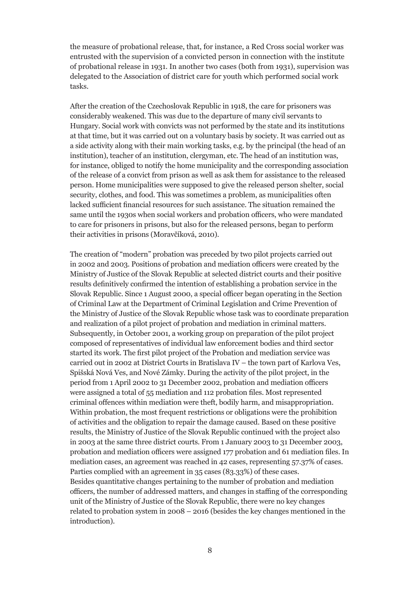the measure of probational release, that, for instance, a Red Cross social worker was entrusted with the supervision of a convicted person in connection with the institute of probational release in 1931. In another two cases (both from 1931), supervision was delegated to the Association of district care for youth which performed social work tasks.

After the creation of the Czechoslovak Republic in 1918, the care for prisoners was considerably weakened. This was due to the departure of many civil servants to Hungary. Social work with convicts was not performed by the state and its institutions at that time, but it was carried out on a voluntary basis by society. It was carried out as a side activity along with their main working tasks, e.g. by the principal (the head of an institution), teacher of an institution, clergyman, etc. The head of an institution was, for instance, obliged to notify the home municipality and the corresponding association of the release of a convict from prison as well as ask them for assistance to the released person. Home municipalities were supposed to give the released person shelter, social security, clothes, and food. This was sometimes a problem, as municipalities often lacked sufficient financial resources for such assistance. The situation remained the same until the 1930s when social workers and probation officers, who were mandated to care for prisoners in prisons, but also for the released persons, began to perform their activities in prisons (Moravčíková, 2010).

The creation of "modern" probation was preceded by two pilot projects carried out in 2002 and 2003. Positions of probation and mediation officers were created by the Ministry of Justice of the Slovak Republic at selected district courts and their positive results definitively confirmed the intention of establishing a probation service in the Slovak Republic. Since 1 August 2000, a special officer began operating in the Section of Criminal Law at the Department of Criminal Legislation and Crime Prevention of the Ministry of Justice of the Slovak Republic whose task was to coordinate preparation and realization of a pilot project of probation and mediation in criminal matters. Subsequently, in October 2001, a working group on preparation of the pilot project composed of representatives of individual law enforcement bodies and third sector started its work. The first pilot project of the Probation and mediation service was carried out in 2002 at District Courts in Bratislava IV – the town part of Karlova Ves, Spišská Nová Ves, and Nové Zámky. During the activity of the pilot project, in the period from 1 April 2002 to 31 December 2002, probation and mediation officers were assigned a total of 55 mediation and 112 probation files. Most represented criminal offences within mediation were theft, bodily harm, and misappropriation. Within probation, the most frequent restrictions or obligations were the prohibition of activities and the obligation to repair the damage caused. Based on these positive results, the Ministry of Justice of the Slovak Republic continued with the project also in 2003 at the same three district courts. From 1 January 2003 to 31 December 2003, probation and mediation officers were assigned 177 probation and 61 mediation files. In mediation cases, an agreement was reached in 42 cases, representing 57.37% of cases. Parties complied with an agreement in 35 cases (83.33%) of these cases. Besides quantitative changes pertaining to the number of probation and mediation officers, the number of addressed matters, and changes in staffing of the corresponding unit of the Ministry of Justice of the Slovak Republic, there were no key changes related to probation system in 2008 – 2016 (besides the key changes mentioned in the introduction).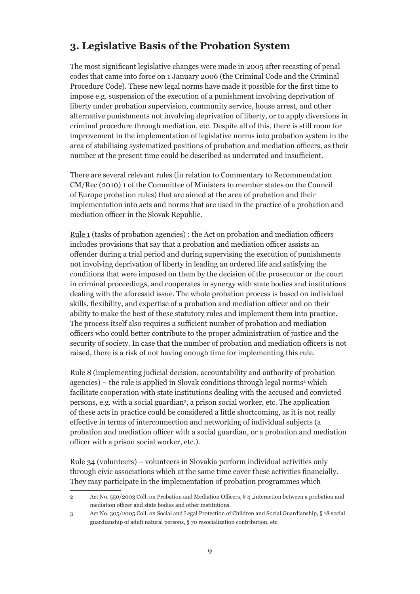## **3. Legislative Basis of the Probation System**

The most significant legislative changes were made in 2005 after recasting of penal codes that came into force on 1 January 2006 (the Criminal Code and the Criminal Procedure Code). These new legal norms have made it possible for the first time to impose e.g. suspension of the execution of a punishment involving deprivation of liberty under probation supervision, community service, house arrest, and other alternative punishments not involving deprivation of liberty, or to apply diversions in criminal procedure through mediation, etc. Despite all of this, there is still room for improvement in the implementation of legislative norms into probation system in the area of stabilising systematized positions of probation and mediation officers, as their number at the present time could be described as underrated and insufficient.

There are several relevant rules (in relation to Commentary to Recommendation CM/Rec (2010) 1 of the Committee of Ministers to member states on the Council of Europe probation rules) that are aimed at the area of probation and their implementation into acts and norms that are used in the practice of a probation and mediation officer in the Slovak Republic.

Rule 1 (tasks of probation agencies) : the Act on probation and mediation officers includes provisions that say that a probation and mediation officer assists an offender during a trial period and during supervising the execution of punishments not involving deprivation of liberty in leading an ordered life and satisfying the conditions that were imposed on them by the decision of the prosecutor or the court in criminal proceedings, and cooperates in synergy with state bodies and institutions dealing with the aforesaid issue. The whole probation process is based on individual skills, flexibility, and expertise of a probation and mediation officer and on their ability to make the best of these statutory rules and implement them into practice. The process itself also requires a sufficient number of probation and mediation officers who could better contribute to the proper administration of justice and the security of society. In case that the number of probation and mediation officers is not raised, there is a risk of not having enough time for implementing this rule.

Rule 8 (implementing judicial decision, accountability and authority of probation agencies) – the rule is applied in Slovak conditions through legal norms<sup>2</sup> which facilitate cooperation with state institutions dealing with the accused and convicted persons, e.g. with a social guardian<sup>3</sup>, a prison social worker, etc. The application of these acts in practice could be considered a little shortcoming, as it is not really effective in terms of interconnection and networking of individual subjects (a probation and mediation officer with a social guardian, or a probation and mediation officer with a prison social worker, etc.).

Rule 34 (volunteers) – volunteers in Slovakia perform individual activities only through civic associations which at the same time cover these activities financially. They may participate in the implementation of probation programmes which

<sup>2</sup> Act No. 550/2003 Coll. on Probation and Mediation Officers, § 4 "interaction between a probation and mediation officer and state bodies and other institutions.

<sup>3</sup> Act No. 305/2005 Coll. on Social and Legal Protection of Children and Social Guardianship, § 18 social guardianship of adult natural persons, § 70 resocialization contribution, etc.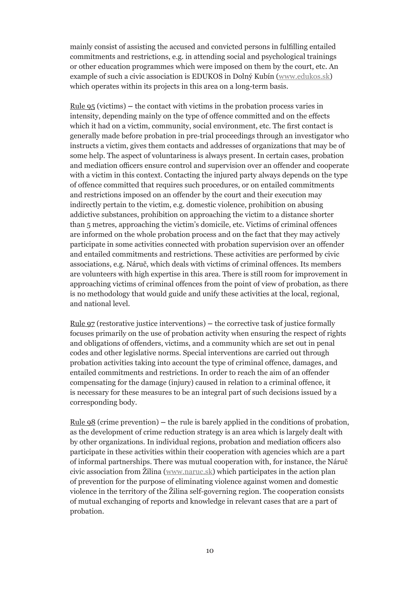mainly consist of assisting the accused and convicted persons in fulfilling entailed commitments and restrictions, e.g. in attending social and psychological trainings or other education programmes which were imposed on them by the court, etc. An example of such a civic association is EDUKOS in Dolný Kubín (www.edukos.sk) which operates within its projects in this area on a long-term basis.

Rule 95 (victims) **–** the contact with victims in the probation process varies in intensity, depending mainly on the type of offence committed and on the effects which it had on a victim, community, social environment, etc. The first contact is generally made before probation in pre-trial proceedings through an investigator who instructs a victim, gives them contacts and addresses of organizations that may be of some help. The aspect of voluntariness is always present. In certain cases, probation and mediation officers ensure control and supervision over an offender and cooperate with a victim in this context. Contacting the injured party always depends on the type of offence committed that requires such procedures, or on entailed commitments and restrictions imposed on an offender by the court and their execution may indirectly pertain to the victim, e.g. domestic violence, prohibition on abusing addictive substances, prohibition on approaching the victim to a distance shorter than 5 metres, approaching the victim's domicile, etc. Victims of criminal offences are informed on the whole probation process and on the fact that they may actively participate in some activities connected with probation supervision over an offender and entailed commitments and restrictions. These activities are performed by civic associations, e.g. Náruč, which deals with victims of criminal offences. Its members are volunteers with high expertise in this area. There is still room for improvement in approaching victims of criminal offences from the point of view of probation, as there is no methodology that would guide and unify these activities at the local, regional, and national level.

Rule 97 (restorative justice interventions) **–** the corrective task of justice formally focuses primarily on the use of probation activity when ensuring the respect of rights and obligations of offenders, victims, and a community which are set out in penal codes and other legislative norms. Special interventions are carried out through probation activities taking into account the type of criminal offence, damages, and entailed commitments and restrictions. In order to reach the aim of an offender compensating for the damage (injury) caused in relation to a criminal offence, it is necessary for these measures to be an integral part of such decisions issued by a corresponding body.

Rule 98 (crime prevention) **–** the rule is barely applied in the conditions of probation, as the development of crime reduction strategy is an area which is largely dealt with by other organizations. In individual regions, probation and mediation officers also participate in these activities within their cooperation with agencies which are a part of informal partnerships. There was mutual cooperation with, for instance, the Náruč civic association from Žilina (www.naruc.sk) which participates in the action plan of prevention for the purpose of eliminating violence against women and domestic violence in the territory of the Žilina self-governing region. The cooperation consists of mutual exchanging of reports and knowledge in relevant cases that are a part of probation.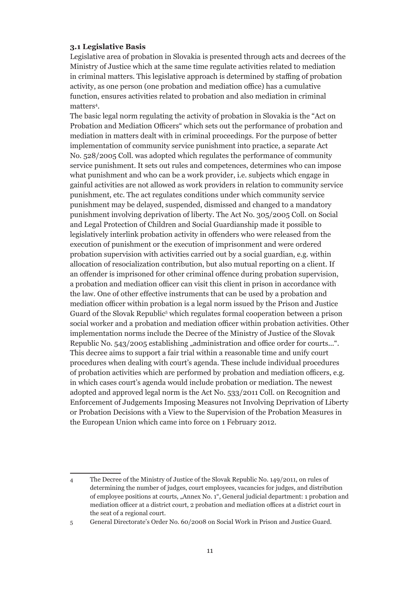#### **3.1 Legislative Basis**

Legislative area of probation in Slovakia is presented through acts and decrees of the Ministry of Justice which at the same time regulate activities related to mediation in criminal matters. This legislative approach is determined by staffing of probation activity, as one person (one probation and mediation office) has a cumulative function, ensures activities related to probation and also mediation in criminal matters<sup>4</sup>.

The basic legal norm regulating the activity of probation in Slovakia is the "Act on Probation and Mediation Officers" which sets out the performance of probation and mediation in matters dealt with in criminal proceedings. For the purpose of better implementation of community service punishment into practice, a separate Act No. 528/2005 Coll. was adopted which regulates the performance of community service punishment. It sets out rules and competences, determines who can impose what punishment and who can be a work provider, i.e. subjects which engage in gainful activities are not allowed as work providers in relation to community service punishment, etc. The act regulates conditions under which community service punishment may be delayed, suspended, dismissed and changed to a mandatory punishment involving deprivation of liberty. The Act No. 305/2005 Coll. on Social and Legal Protection of Children and Social Guardianship made it possible to legislatively interlink probation activity in offenders who were released from the execution of punishment or the execution of imprisonment and were ordered probation supervision with activities carried out by a social guardian, e.g. within allocation of resocialization contribution, but also mutual reporting on a client. If an offender is imprisoned for other criminal offence during probation supervision, a probation and mediation officer can visit this client in prison in accordance with the law. One of other effective instruments that can be used by a probation and mediation officer within probation is a legal norm issued by the Prison and Justice Guard of the Slovak Republic<sup>5</sup> which regulates formal cooperation between a prison social worker and a probation and mediation officer within probation activities. Other implementation norms include the Decree of the Ministry of Justice of the Slovak Republic No. 543/2005 establishing "administration and office order for courts...". This decree aims to support a fair trial within a reasonable time and unify court procedures when dealing with court's agenda. These include individual procedures of probation activities which are performed by probation and mediation officers, e.g. in which cases court's agenda would include probation or mediation. The newest adopted and approved legal norm is the Act No. 533/2011 Coll. on Recognition and Enforcement of Judgements Imposing Measures not Involving Deprivation of Liberty or Probation Decisions with a View to the Supervision of the Probation Measures in the European Union which came into force on 1 February 2012.

5 General Directorate's Order No. 60/2008 on Social Work in Prison and Justice Guard.

<sup>4</sup> The Decree of the Ministry of Justice of the Slovak Republic No. 149/2011, on rules of determining the number of judges, court employees, vacancies for judges, and distribution of employee positions at courts, "Annex No. 1", General judicial department: 1 probation and mediation officer at a district court, 2 probation and mediation offices at a district court in the seat of a regional court.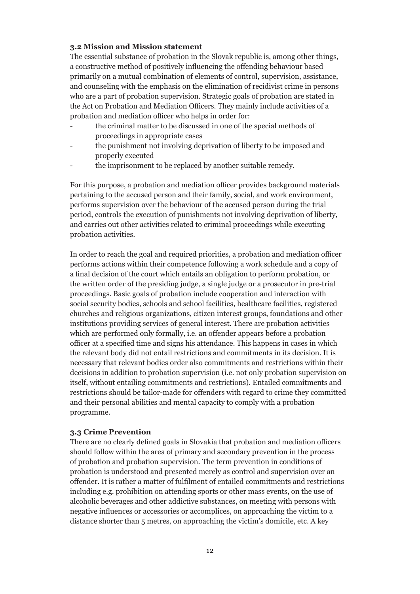#### **3.2 Mission and Mission statement**

The essential substance of probation in the Slovak republic is, among other things, a constructive method of positively influencing the offending behaviour based primarily on a mutual combination of elements of control, supervision, assistance, and counseling with the emphasis on the elimination of recidivist crime in persons who are a part of probation supervision. Strategic goals of probation are stated in the Act on Probation and Mediation Officers. They mainly include activities of a probation and mediation officer who helps in order for:

- the criminal matter to be discussed in one of the special methods of proceedings in appropriate cases
- the punishment not involving deprivation of liberty to be imposed and properly executed
- the imprisonment to be replaced by another suitable remedy.

For this purpose, a probation and mediation officer provides background materials pertaining to the accused person and their family, social, and work environment, performs supervision over the behaviour of the accused person during the trial period, controls the execution of punishments not involving deprivation of liberty, and carries out other activities related to criminal proceedings while executing probation activities.

In order to reach the goal and required priorities, a probation and mediation officer performs actions within their competence following a work schedule and a copy of a final decision of the court which entails an obligation to perform probation, or the written order of the presiding judge, a single judge or a prosecutor in pre-trial proceedings. Basic goals of probation include cooperation and interaction with social security bodies, schools and school facilities, healthcare facilities, registered churches and religious organizations, citizen interest groups, foundations and other institutions providing services of general interest. There are probation activities which are performed only formally, i.e. an offender appears before a probation officer at a specified time and signs his attendance. This happens in cases in which the relevant body did not entail restrictions and commitments in its decision. It is necessary that relevant bodies order also commitments and restrictions within their decisions in addition to probation supervision (i.e. not only probation supervision on itself, without entailing commitments and restrictions). Entailed commitments and restrictions should be tailor-made for offenders with regard to crime they committed and their personal abilities and mental capacity to comply with a probation programme.

#### **3.3 Crime Prevention**

There are no clearly defined goals in Slovakia that probation and mediation officers should follow within the area of primary and secondary prevention in the process of probation and probation supervision. The term prevention in conditions of probation is understood and presented merely as control and supervision over an offender. It is rather a matter of fulfilment of entailed commitments and restrictions including e.g. prohibition on attending sports or other mass events, on the use of alcoholic beverages and other addictive substances, on meeting with persons with negative influences or accessories or accomplices, on approaching the victim to a distance shorter than 5 metres, on approaching the victim's domicile, etc. A key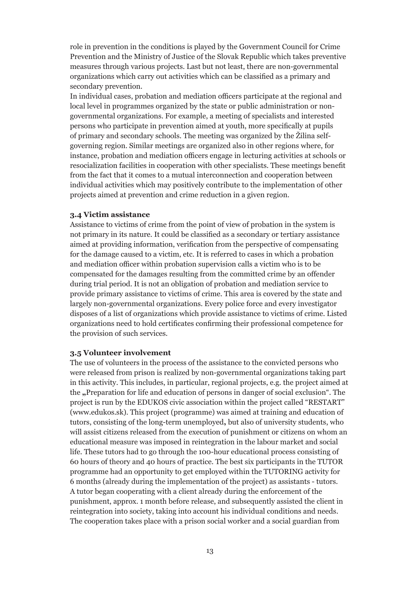role in prevention in the conditions is played by the Government Council for Crime Prevention and the Ministry of Justice of the Slovak Republic which takes preventive measures through various projects. Last but not least, there are non-governmental organizations which carry out activities which can be classified as a primary and secondary prevention.

In individual cases, probation and mediation officers participate at the regional and local level in programmes organized by the state or public administration or nongovernmental organizations. For example, a meeting of specialists and interested persons who participate in prevention aimed at youth, more specifically at pupils of primary and secondary schools. The meeting was organized by the Žilina selfgoverning region. Similar meetings are organized also in other regions where, for instance, probation and mediation officers engage in lecturing activities at schools or resocialization facilities in cooperation with other specialists. These meetings benefit from the fact that it comes to a mutual interconnection and cooperation between individual activities which may positively contribute to the implementation of other projects aimed at prevention and crime reduction in a given region.

#### **3.4 Victim assistance**

Assistance to victims of crime from the point of view of probation in the system is not primary in its nature. It could be classified as a secondary or tertiary assistance aimed at providing information, verification from the perspective of compensating for the damage caused to a victim, etc. It is referred to cases in which a probation and mediation officer within probation supervision calls a victim who is to be compensated for the damages resulting from the committed crime by an offender during trial period. It is not an obligation of probation and mediation service to provide primary assistance to victims of crime. This area is covered by the state and largely non-governmental organizations. Every police force and every investigator disposes of a list of organizations which provide assistance to victims of crime. Listed organizations need to hold certificates confirming their professional competence for the provision of such services.

#### **3.5 Volunteer involvement**

The use of volunteers in the process of the assistance to the convicted persons who were released from prison is realized by non-governmental organizations taking part in this activity. This includes, in particular, regional projects, e.g. the project aimed at the **"**Preparation for life and education of persons in danger of social exclusion". The project is run by the EDUKOS civic association within the project called "RESTART" (www.edukos.sk). This project (programme) was aimed at training and education of tutors, consisting of the long-term unemployed**,** but also of university students, who will assist citizens released from the execution of punishment or citizens on whom an educational measure was imposed in reintegration in the labour market and social life. These tutors had to go through the 100-hour educational process consisting of 60 hours of theory and 40 hours of practice. The best six participants in the TUTOR programme had an opportunity to get employed within the TUTORING activity for 6 months (already during the implementation of the project) as assistants - tutors. A tutor began cooperating with a client already during the enforcement of the punishment, approx. 1 month before release, and subsequently assisted the client in reintegration into society, taking into account his individual conditions and needs. The cooperation takes place with a prison social worker and a social guardian from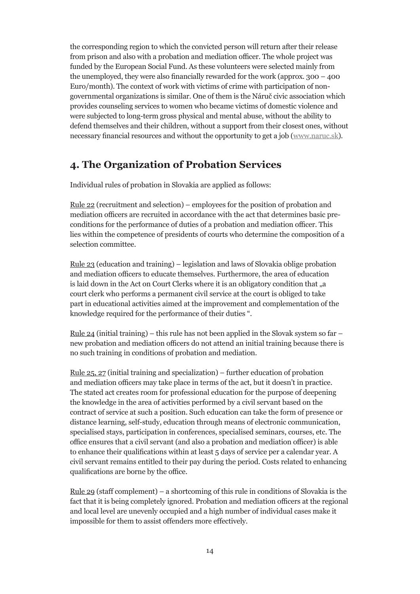the corresponding region to which the convicted person will return after their release from prison and also with a probation and mediation officer. The whole project was funded by the European Social Fund. As these volunteers were selected mainly from the unemployed, they were also financially rewarded for the work (approx.  $300 - 400$ ) Euro/month). The context of work with victims of crime with participation of nongovernmental organizations is similar. One of them is the Náruč civic association which provides counseling services to women who became victims of domestic violence and were subjected to long-term gross physical and mental abuse, without the ability to defend themselves and their children, without a support from their closest ones, without necessary financial resources and without the opportunity to get a job (www.naruc.sk).

## **4. The Organization of Probation Services**

Individual rules of probation in Slovakia are applied as follows:

Rule 22 (recruitment and selection) – employees for the position of probation and mediation officers are recruited in accordance with the act that determines basic preconditions for the performance of duties of a probation and mediation officer. This lies within the competence of presidents of courts who determine the composition of a selection committee.

Rule 23 (education and training) – legislation and laws of Slovakia oblige probation and mediation officers to educate themselves. Furthermore, the area of education is laid down in the Act on Court Clerks where it is an obligatory condition that "a court clerk who performs a permanent civil service at the court is obliged to take part in educational activities aimed at the improvement and complementation of the knowledge required for the performance of their duties ".

<u>Rule 24</u> (initial training) – this rule has not been applied in the Slovak system so far – new probation and mediation officers do not attend an initial training because there is no such training in conditions of probation and mediation.

<u>Rule 25, 27</u> (initial training and specialization) – further education of probation and mediation officers may take place in terms of the act, but it doesn't in practice. The stated act creates room for professional education for the purpose of deepening the knowledge in the area of activities performed by a civil servant based on the contract of service at such a position. Such education can take the form of presence or distance learning, self-study, education through means of electronic communication, specialised stays, participation in conferences, specialised seminars, courses, etc. The office ensures that a civil servant (and also a probation and mediation officer) is able to enhance their qualifications within at least 5 days of service per a calendar year. A civil servant remains entitled to their pay during the period. Costs related to enhancing qualifications are borne by the office.

Rule 29 (staff complement) – a shortcoming of this rule in conditions of Slovakia is the fact that it is being completely ignored. Probation and mediation officers at the regional and local level are unevenly occupied and a high number of individual cases make it impossible for them to assist offenders more effectively.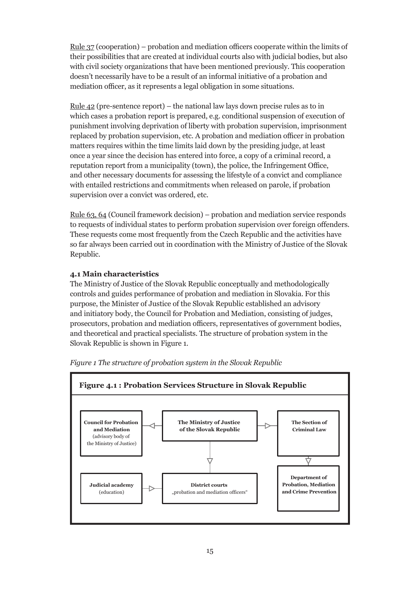Rule 37 (cooperation) – probation and mediation officers cooperate within the limits of their possibilities that are created at individual courts also with judicial bodies, but also with civil society organizations that have been mentioned previously. This cooperation doesn't necessarily have to be a result of an informal initiative of a probation and mediation officer, as it represents a legal obligation in some situations.

Rule 42 (pre-sentence report) – the national law lays down precise rules as to in which cases a probation report is prepared, e.g. conditional suspension of execution of punishment involving deprivation of liberty with probation supervision, imprisonment replaced by probation supervision, etc. A probation and mediation officer in probation matters requires within the time limits laid down by the presiding judge, at least once a year since the decision has entered into force, a copy of a criminal record, a reputation report from a municipality (town), the police, the Infringement Office, and other necessary documents for assessing the lifestyle of a convict and compliance with entailed restrictions and commitments when released on parole, if probation supervision over a convict was ordered, etc.

Rule 63, 64 (Council framework decision) – probation and mediation service responds to requests of individual states to perform probation supervision over foreign offenders. These requests come most frequently from the Czech Republic and the activities have so far always been carried out in coordination with the Ministry of Justice of the Slovak Republic.

#### **4.1 Main characteristics**

The Ministry of Justice of the Slovak Republic conceptually and methodologically controls and guides performance of probation and mediation in Slovakia. For this purpose, the Minister of Justice of the Slovak Republic established an advisory and initiatory body, the Council for Probation and Mediation, consisting of judges, prosecutors, probation and mediation officers, representatives of government bodies, and theoretical and practical specialists. The structure of probation system in the Slovak Republic is shown in Figure 1.



*Figure 1 The structure of probation system in the Slovak Republic*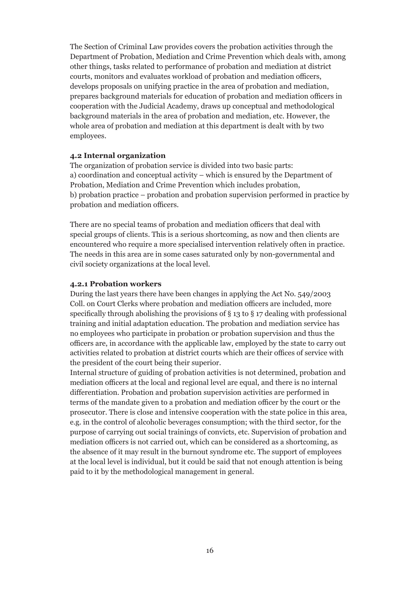The Section of Criminal Law provides covers the probation activities through the Department of Probation, Mediation and Crime Prevention which deals with, among other things, tasks related to performance of probation and mediation at district courts, monitors and evaluates workload of probation and mediation officers, develops proposals on unifying practice in the area of probation and mediation, prepares background materials for education of probation and mediation officers in cooperation with the Judicial Academy, draws up conceptual and methodological background materials in the area of probation and mediation, etc. However, the whole area of probation and mediation at this department is dealt with by two employees.

#### **4.2 Internal organization**

The organization of probation service is divided into two basic parts: a) coordination and conceptual activity – which is ensured by the Department of Probation, Mediation and Crime Prevention which includes probation, b) probation practice – probation and probation supervision performed in practice by probation and mediation officers.

There are no special teams of probation and mediation officers that deal with special groups of clients. This is a serious shortcoming, as now and then clients are encountered who require a more specialised intervention relatively often in practice. The needs in this area are in some cases saturated only by non-governmental and civil society organizations at the local level.

#### **4.2.1 Probation workers**

During the last years there have been changes in applying the Act No. 549/2003 Coll. on Court Clerks where probation and mediation officers are included, more specifically through abolishing the provisions of § 13 to § 17 dealing with professional training and initial adaptation education. The probation and mediation service has no employees who participate in probation or probation supervision and thus the officers are, in accordance with the applicable law, employed by the state to carry out activities related to probation at district courts which are their offices of service with the president of the court being their superior.

Internal structure of guiding of probation activities is not determined, probation and mediation officers at the local and regional level are equal, and there is no internal differentiation. Probation and probation supervision activities are performed in terms of the mandate given to a probation and mediation officer by the court or the prosecutor. There is close and intensive cooperation with the state police in this area, e.g. in the control of alcoholic beverages consumption; with the third sector, for the purpose of carrying out social trainings of convicts, etc. Supervision of probation and mediation officers is not carried out, which can be considered as a shortcoming, as the absence of it may result in the burnout syndrome etc. The support of employees at the local level is individual, but it could be said that not enough attention is being paid to it by the methodological management in general.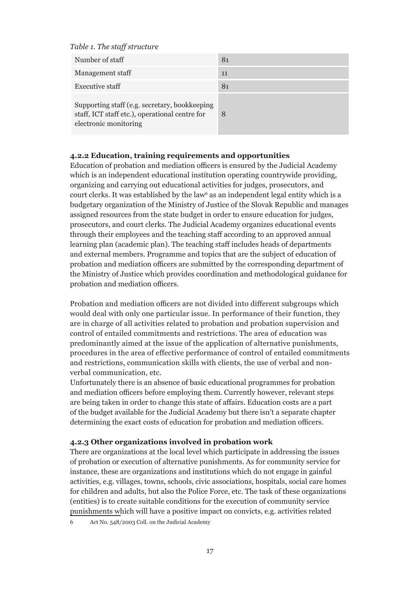*Table 1. The staff structure*

electronic monitoring

| Number of staff                                                                                 | 81 |
|-------------------------------------------------------------------------------------------------|----|
| Management staff                                                                                | 11 |
| <b>Executive staff</b>                                                                          | 81 |
| Supporting staff (e.g. secretary, bookkeeping<br>staff, ICT staff etc.), operational centre for |    |

**4.2.2 Education, training requirements and opportunities**

Education of probation and mediation officers is ensured by the Judicial Academy which is an independent educational institution operating countrywide providing, organizing and carrying out educational activities for judges, prosecutors, and court clerks. It was established by the law<sup>6</sup> as an independent legal entity which is a budgetary organization of the Ministry of Justice of the Slovak Republic and manages assigned resources from the state budget in order to ensure education for judges, prosecutors, and court clerks. The Judicial Academy organizes educational events through their employees and the teaching staff according to an approved annual learning plan (academic plan). The teaching staff includes heads of departments and external members. Programme and topics that are the subject of education of probation and mediation officers are submitted by the corresponding department of the Ministry of Justice which provides coordination and methodological guidance for probation and mediation officers.

Probation and mediation officers are not divided into different subgroups which would deal with only one particular issue. In performance of their function, they are in charge of all activities related to probation and probation supervision and control of entailed commitments and restrictions. The area of education was predominantly aimed at the issue of the application of alternative punishments, procedures in the area of effective performance of control of entailed commitments and restrictions, communication skills with clients, the use of verbal and nonverbal communication, etc.

Unfortunately there is an absence of basic educational programmes for probation and mediation officers before employing them. Currently however, relevant steps are being taken in order to change this state of affairs. Education costs are a part of the budget available for the Judicial Academy but there isn't a separate chapter determining the exact costs of education for probation and mediation officers.

#### **4.2.3 Other organizations involved in probation work**

There are organizations at the local level which participate in addressing the issues of probation or execution of alternative punishments. As for community service for instance, these are organizations and institutions which do not engage in gainful activities, e.g. villages, towns, schools, civic associations, hospitals, social care homes for children and adults, but also the Police Force, etc. The task of these organizations (entities) is to create suitable conditions for the execution of community service punishments which will have a positive impact on convicts, e.g. activities related

6 Act No. 548/2003 Coll. on the Judicial Academy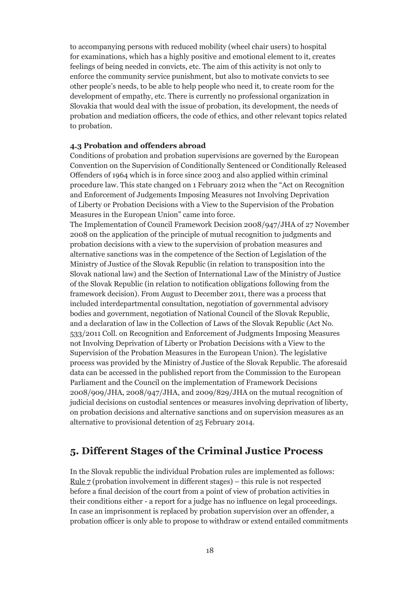to accompanying persons with reduced mobility (wheel chair users) to hospital for examinations, which has a highly positive and emotional element to it, creates feelings of being needed in convicts, etc. The aim of this activity is not only to enforce the community service punishment, but also to motivate convicts to see other people's needs, to be able to help people who need it, to create room for the development of empathy, etc. There is currently no professional organization in Slovakia that would deal with the issue of probation, its development, the needs of probation and mediation officers, the code of ethics, and other relevant topics related to probation.

#### **4.3 Probation and offenders abroad**

Conditions of probation and probation supervisions are governed by the European Convention on the Supervision of Conditionally Sentenced or Conditionally Released Offenders of 1964 which is in force since 2003 and also applied within criminal procedure law. This state changed on 1 February 2012 when the "Act on Recognition and Enforcement of Judgements Imposing Measures not Involving Deprivation of Liberty or Probation Decisions with a View to the Supervision of the Probation Measures in the European Union" came into force.

The Implementation of Council Framework Decision 2008/947/JHA of 27 November 2008 on the application of the principle of mutual recognition to judgments and probation decisions with a view to the supervision of probation measures and alternative sanctions was in the competence of the Section of Legislation of the Ministry of Justice of the Slovak Republic (in relation to transposition into the Slovak national law) and the Section of International Law of the Ministry of Justice of the Slovak Republic (in relation to notification obligations following from the framework decision). From August to December 2011, there was a process that included interdepartmental consultation, negotiation of governmental advisory bodies and government, negotiation of National Council of the Slovak Republic, and a declaration of law in the Collection of Laws of the Slovak Republic (Act No. 533/2011 Coll. on Recognition and Enforcement of Judgments Imposing Measures not Involving Deprivation of Liberty or Probation Decisions with a View to the Supervision of the Probation Measures in the European Union). The legislative process was provided by the Ministry of Justice of the Slovak Republic. The aforesaid data can be accessed in the published report from the Commission to the European Parliament and the Council on the implementation of Framework Decisions 2008/909/JHA, 2008/947/JHA, and 2009/829/JHA on the mutual recognition of judicial decisions on custodial sentences or measures involving deprivation of liberty, on probation decisions and alternative sanctions and on supervision measures as an alternative to provisional detention of 25 February 2014.

## **5. Different Stages of the Criminal Justice Process**

In the Slovak republic the individual Probation rules are implemented as follows: Rule 7 (probation involvement in different stages) – this rule is not respected before a final decision of the court from a point of view of probation activities in their conditions either - a report for a judge has no influence on legal proceedings. In case an imprisonment is replaced by probation supervision over an offender, a probation officer is only able to propose to withdraw or extend entailed commitments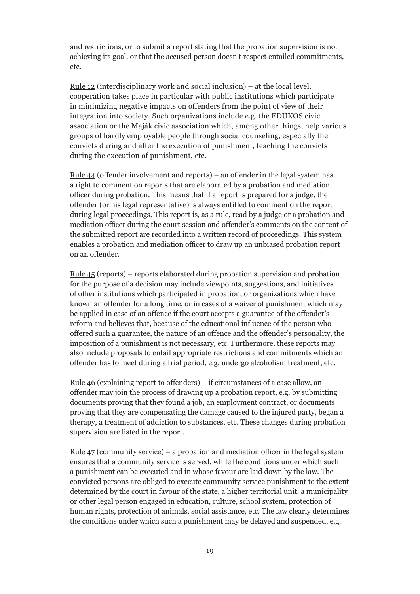and restrictions, or to submit a report stating that the probation supervision is not achieving its goal, or that the accused person doesn't respect entailed commitments, etc.

<u>Rule 12</u> (interdisciplinary work and social inclusion) – at the local level, cooperation takes place in particular with public institutions which participate in minimizing negative impacts on offenders from the point of view of their integration into society. Such organizations include e.g. the EDUKOS civic association or the Maják civic association which, among other things, help various groups of hardly employable people through social counseling, especially the convicts during and after the execution of punishment, teaching the convicts during the execution of punishment, etc.

Rule 44 (offender involvement and reports) – an offender in the legal system has a right to comment on reports that are elaborated by a probation and mediation officer during probation. This means that if a report is prepared for a judge, the offender (or his legal representative) is always entitled to comment on the report during legal proceedings. This report is, as a rule, read by a judge or a probation and mediation officer during the court session and offender's comments on the content of the submitted report are recorded into a written record of proceedings. This system enables a probation and mediation officer to draw up an unbiased probation report on an offender.

Rule 45 (reports) – reports elaborated during probation supervision and probation for the purpose of a decision may include viewpoints, suggestions, and initiatives of other institutions which participated in probation, or organizations which have known an offender for a long time, or in cases of a waiver of punishment which may be applied in case of an offence if the court accepts a guarantee of the offender's reform and believes that, because of the educational influence of the person who offered such a guarantee, the nature of an offence and the offender's personality, the imposition of a punishment is not necessary, etc. Furthermore, these reports may also include proposals to entail appropriate restrictions and commitments which an offender has to meet during a trial period, e.g. undergo alcoholism treatment, etc.

Rule 46 (explaining report to offenders) – if circumstances of a case allow, an offender may join the process of drawing up a probation report, e.g. by submitting documents proving that they found a job, an employment contract, or documents proving that they are compensating the damage caused to the injured party, began a therapy, a treatment of addiction to substances, etc. These changes during probation supervision are listed in the report.

<u>Rule 47</u> (community service) – a probation and mediation officer in the legal system ensures that a community service is served, while the conditions under which such a punishment can be executed and in whose favour are laid down by the law. The convicted persons are obliged to execute community service punishment to the extent determined by the court in favour of the state, a higher territorial unit, a municipality or other legal person engaged in education, culture, school system, protection of human rights, protection of animals, social assistance, etc. The law clearly determines the conditions under which such a punishment may be delayed and suspended, e.g.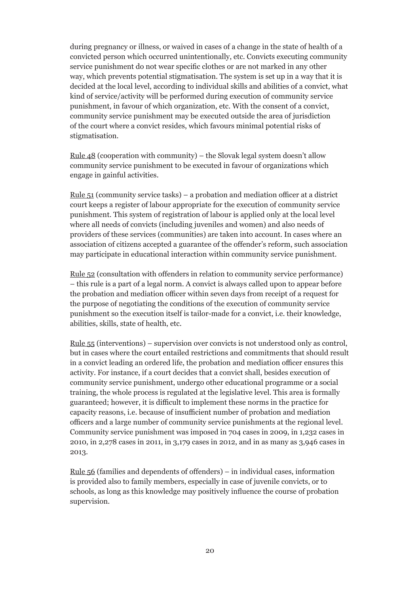during pregnancy or illness, or waived in cases of a change in the state of health of a convicted person which occurred unintentionally, etc. Convicts executing community service punishment do not wear specific clothes or are not marked in any other way, which prevents potential stigmatisation. The system is set up in a way that it is decided at the local level, according to individual skills and abilities of a convict, what kind of service/activity will be performed during execution of community service punishment, in favour of which organization, etc. With the consent of a convict, community service punishment may be executed outside the area of jurisdiction of the court where a convict resides, which favours minimal potential risks of stigmatisation.

<u>Rule 48</u> (cooperation with community) – the Slovak legal system doesn't allow community service punishment to be executed in favour of organizations which engage in gainful activities.

Rule 51 (community service tasks) – a probation and mediation officer at a district court keeps a register of labour appropriate for the execution of community service punishment. This system of registration of labour is applied only at the local level where all needs of convicts (including juveniles and women) and also needs of providers of these services (communities) are taken into account. In cases where an association of citizens accepted a guarantee of the offender's reform, such association may participate in educational interaction within community service punishment.

Rule 52 (consultation with offenders in relation to community service performance) – this rule is a part of a legal norm. A convict is always called upon to appear before the probation and mediation officer within seven days from receipt of a request for the purpose of negotiating the conditions of the execution of community service punishment so the execution itself is tailor-made for a convict, i.e. their knowledge, abilities, skills, state of health, etc.

Rule 55 (interventions) – supervision over convicts is not understood only as control, but in cases where the court entailed restrictions and commitments that should result in a convict leading an ordered life, the probation and mediation officer ensures this activity. For instance, if a court decides that a convict shall, besides execution of community service punishment, undergo other educational programme or a social training, the whole process is regulated at the legislative level. This area is formally guaranteed; however, it is difficult to implement these norms in the practice for capacity reasons, i.e. because of insufficient number of probation and mediation officers and a large number of community service punishments at the regional level. Community service punishment was imposed in 704 cases in 2009, in 1,232 cases in 2010, in 2,278 cases in 2011, in 3,179 cases in 2012, and in as many as 3,946 cases in 2013.

Rule 56 (families and dependents of offenders) – in individual cases, information is provided also to family members, especially in case of juvenile convicts, or to schools, as long as this knowledge may positively influence the course of probation supervision.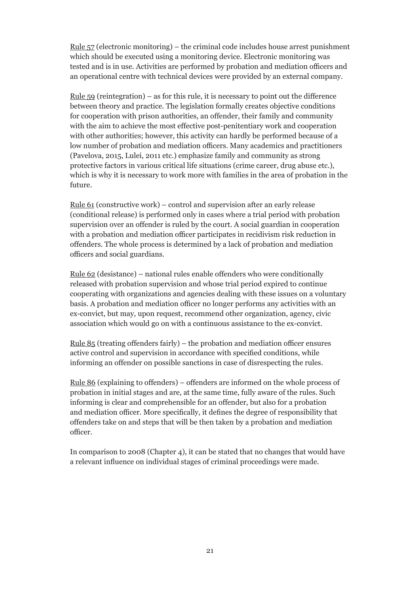Rule 57 (electronic monitoring) – the criminal code includes house arrest punishment which should be executed using a monitoring device. Electronic monitoring was tested and is in use. Activities are performed by probation and mediation officers and an operational centre with technical devices were provided by an external company.

Rule  $59$  (reintegration) – as for this rule, it is necessary to point out the difference between theory and practice. The legislation formally creates objective conditions for cooperation with prison authorities, an offender, their family and community with the aim to achieve the most effective post-penitentiary work and cooperation with other authorities; however, this activity can hardly be performed because of a low number of probation and mediation officers. Many academics and practitioners (Pavelova, 2015, Lulei, 2011 etc.) emphasize family and community as strong protective factors in various critical life situations (crime career, drug abuse etc.), which is why it is necessary to work more with families in the area of probation in the future.

<u>Rule 61</u> (constructive work) – control and supervision after an early release (conditional release) is performed only in cases where a trial period with probation supervision over an offender is ruled by the court. A social guardian in cooperation with a probation and mediation officer participates in recidivism risk reduction in offenders. The whole process is determined by a lack of probation and mediation officers and social guardians.

Rule 62 (desistance) – national rules enable offenders who were conditionally released with probation supervision and whose trial period expired to continue cooperating with organizations and agencies dealing with these issues on a voluntary basis. A probation and mediation officer no longer performs any activities with an ex-convict, but may, upon request, recommend other organization, agency, civic association which would go on with a continuous assistance to the ex-convict.

<u>Rule 85</u> (treating offenders fairly) – the probation and mediation officer ensures active control and supervision in accordance with specified conditions, while informing an offender on possible sanctions in case of disrespecting the rules.

Rule 86 (explaining to offenders) – offenders are informed on the whole process of probation in initial stages and are, at the same time, fully aware of the rules. Such informing is clear and comprehensible for an offender, but also for a probation and mediation officer. More specifically, it defines the degree of responsibility that offenders take on and steps that will be then taken by a probation and mediation officer.

In comparison to 2008 (Chapter 4), it can be stated that no changes that would have a relevant influence on individual stages of criminal proceedings were made.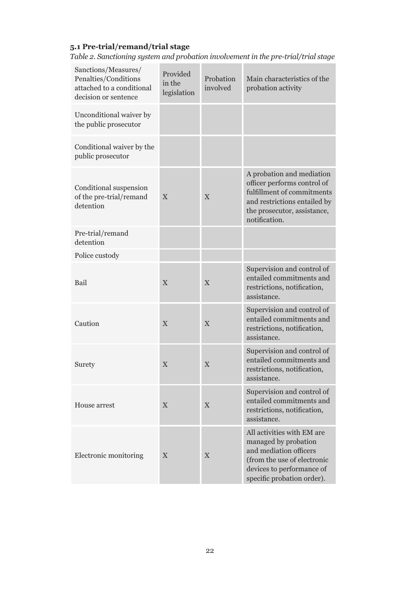## **5.1 Pre-trial/remand/trial stage**

*Table 2. Sanctioning system and probation involvement in the pre-trial/trial stage*

| Sanctions/Measures/<br>Penalties/Conditions<br>attached to a conditional<br>decision or sentence | Provided<br>in the<br>legislation | Probation<br>involved | Main characteristics of the<br>probation activity                                                                                                                      |
|--------------------------------------------------------------------------------------------------|-----------------------------------|-----------------------|------------------------------------------------------------------------------------------------------------------------------------------------------------------------|
| Unconditional waiver by<br>the public prosecutor                                                 |                                   |                       |                                                                                                                                                                        |
| Conditional waiver by the<br>public prosecutor                                                   |                                   |                       |                                                                                                                                                                        |
| Conditional suspension<br>of the pre-trial/remand<br>detention                                   | X                                 | X                     | A probation and mediation<br>officer performs control of<br>fulfillment of commitments<br>and restrictions entailed by<br>the prosecutor, assistance,<br>notification. |
| Pre-trial/remand<br>detention                                                                    |                                   |                       |                                                                                                                                                                        |
| Police custody                                                                                   |                                   |                       |                                                                                                                                                                        |
| Bail                                                                                             | X                                 | X                     | Supervision and control of<br>entailed commitments and<br>restrictions, notification,<br>assistance.                                                                   |
| Caution                                                                                          | X                                 | X                     | Supervision and control of<br>entailed commitments and<br>restrictions, notification,<br>assistance.                                                                   |
| Surety                                                                                           | X                                 | X                     | Supervision and control of<br>entailed commitments and<br>restrictions, notification,<br>assistance.                                                                   |
| House arrest                                                                                     | X                                 | X                     | Supervision and control of<br>entailed commitments and<br>restrictions, notification,<br>assistance.                                                                   |
| Electronic monitoring                                                                            | X                                 | X                     | All activities with EM are<br>managed by probation<br>and mediation officers<br>(from the use of electronic<br>devices to performance of<br>specific probation order). |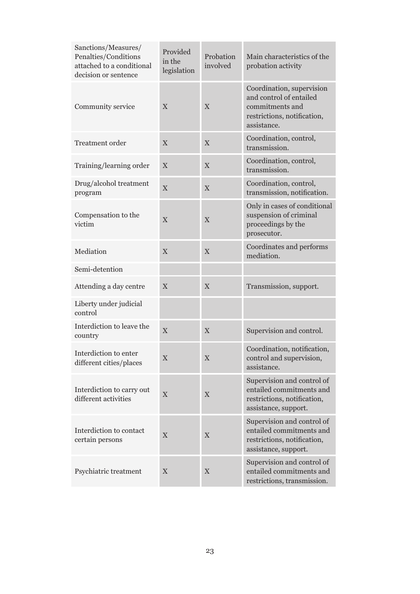| Sanctions/Measures/<br>Penalties/Conditions<br>attached to a conditional<br>decision or sentence | Provided<br>in the<br>legislation | Probation<br>involved | Main characteristics of the<br>probation activity                                                                     |
|--------------------------------------------------------------------------------------------------|-----------------------------------|-----------------------|-----------------------------------------------------------------------------------------------------------------------|
| Community service                                                                                | X                                 | X                     | Coordination, supervision<br>and control of entailed<br>commitments and<br>restrictions, notification,<br>assistance. |
| <b>Treatment</b> order                                                                           | X                                 | $\overline{X}$        | Coordination, control,<br>transmission.                                                                               |
| Training/learning order                                                                          | X                                 | X                     | Coordination, control,<br>transmission.                                                                               |
| Drug/alcohol treatment<br>program                                                                | $\mathbf X$                       | X                     | Coordination, control,<br>transmission, notification.                                                                 |
| Compensation to the<br>victim                                                                    | X                                 | $\overline{X}$        | Only in cases of conditional<br>suspension of criminal<br>proceedings by the<br>prosecutor.                           |
| Mediation                                                                                        | $\mathbf X$                       | $\overline{X}$        | Coordinates and performs<br>mediation.                                                                                |
| Semi-detention                                                                                   |                                   |                       |                                                                                                                       |
| Attending a day centre                                                                           | X                                 | $\overline{X}$        | Transmission, support.                                                                                                |
| Liberty under judicial<br>control                                                                |                                   |                       |                                                                                                                       |
| Interdiction to leave the<br>country                                                             | X                                 | X                     | Supervision and control.                                                                                              |
| Interdiction to enter<br>different cities/places                                                 | X                                 | $\overline{X}$        | Coordination, notification,<br>control and supervision,<br>assistance.                                                |
| Interdiction to carry out<br>different activities                                                | X                                 | X                     | Supervision and control of<br>entailed commitments and<br>restrictions, notification,<br>assistance, support.         |
| Interdiction to contact<br>certain persons                                                       | X                                 | X                     | Supervision and control of<br>entailed commitments and<br>restrictions, notification,<br>assistance, support.         |
| Psychiatric treatment                                                                            | X                                 | $\mathbf X$           | Supervision and control of<br>entailed commitments and<br>restrictions, transmission.                                 |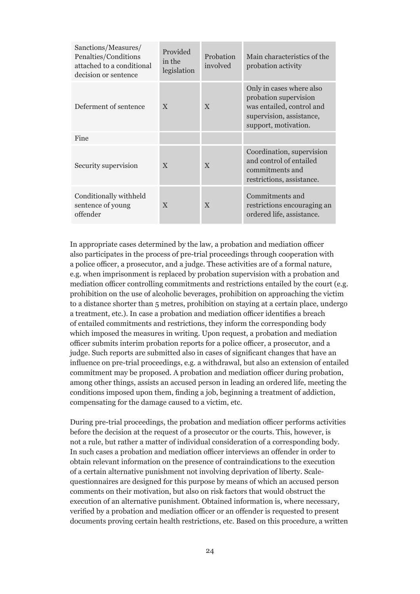| Sanctions/Measures/<br>Penalties/Conditions<br>attached to a conditional<br>decision or sentence | Provided<br>in the<br>legislation | Probation<br>involved | Main characteristics of the<br>probation activity                                                                                  |
|--------------------------------------------------------------------------------------------------|-----------------------------------|-----------------------|------------------------------------------------------------------------------------------------------------------------------------|
| Deferment of sentence                                                                            | X                                 | $\mathbf{X}$          | Only in cases where also<br>probation supervision<br>was entailed, control and<br>supervision, assistance,<br>support, motivation. |
| Fine                                                                                             |                                   |                       |                                                                                                                                    |
| Security supervision                                                                             | $\mathbf{X}$                      | $\mathbf{X}$          | Coordination, supervision<br>and control of entailed<br>commitments and<br>restrictions, assistance.                               |
| Conditionally withheld<br>sentence of young<br>offender                                          | $\mathbf{X}$                      | $\mathbf{X}$          | Commitments and<br>restrictions encouraging an<br>ordered life, assistance.                                                        |

In appropriate cases determined by the law, a probation and mediation officer also participates in the process of pre-trial proceedings through cooperation with a police officer, a prosecutor, and a judge. These activities are of a formal nature, e.g. when imprisonment is replaced by probation supervision with a probation and mediation officer controlling commitments and restrictions entailed by the court (e.g. prohibition on the use of alcoholic beverages, prohibition on approaching the victim to a distance shorter than 5 metres, prohibition on staying at a certain place, undergo a treatment, etc.). In case a probation and mediation officer identifies a breach of entailed commitments and restrictions, they inform the corresponding body which imposed the measures in writing. Upon request, a probation and mediation officer submits interim probation reports for a police officer, a prosecutor, and a judge. Such reports are submitted also in cases of significant changes that have an influence on pre-trial proceedings, e.g. a withdrawal, but also an extension of entailed commitment may be proposed. A probation and mediation officer during probation, among other things, assists an accused person in leading an ordered life, meeting the conditions imposed upon them, finding a job, beginning a treatment of addiction, compensating for the damage caused to a victim, etc.

During pre-trial proceedings, the probation and mediation officer performs activities before the decision at the request of a prosecutor or the courts. This, however, is not a rule, but rather a matter of individual consideration of a corresponding body. In such cases a probation and mediation officer interviews an offender in order to obtain relevant information on the presence of contraindications to the execution of a certain alternative punishment not involving deprivation of liberty. Scalequestionnaires are designed for this purpose by means of which an accused person comments on their motivation, but also on risk factors that would obstruct the execution of an alternative punishment. Obtained information is, where necessary, verified by a probation and mediation officer or an offender is requested to present documents proving certain health restrictions, etc. Based on this procedure, a written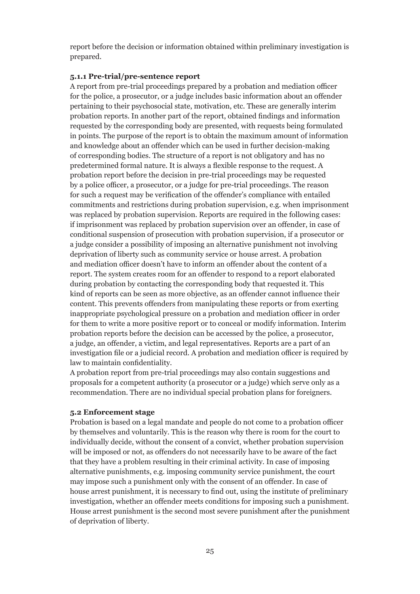report before the decision or information obtained within preliminary investigation is prepared.

#### **5.1.1 Pre-trial/pre-sentence report**

A report from pre-trial proceedings prepared by a probation and mediation officer for the police, a prosecutor, or a judge includes basic information about an offender pertaining to their psychosocial state, motivation, etc. These are generally interim probation reports. In another part of the report, obtained findings and information requested by the corresponding body are presented, with requests being formulated in points. The purpose of the report is to obtain the maximum amount of information and knowledge about an offender which can be used in further decision-making of corresponding bodies. The structure of a report is not obligatory and has no predetermined formal nature. It is always a flexible response to the request. A probation report before the decision in pre-trial proceedings may be requested by a police officer, a prosecutor, or a judge for pre-trial proceedings. The reason for such a request may be verification of the offender's compliance with entailed commitments and restrictions during probation supervision, e.g. when imprisonment was replaced by probation supervision. Reports are required in the following cases: if imprisonment was replaced by probation supervision over an offender, in case of conditional suspension of prosecution with probation supervision, if a prosecutor or a judge consider a possibility of imposing an alternative punishment not involving deprivation of liberty such as community service or house arrest. A probation and mediation officer doesn't have to inform an offender about the content of a report. The system creates room for an offender to respond to a report elaborated during probation by contacting the corresponding body that requested it. This kind of reports can be seen as more objective, as an offender cannot influence their content. This prevents offenders from manipulating these reports or from exerting inappropriate psychological pressure on a probation and mediation officer in order for them to write a more positive report or to conceal or modify information. Interim probation reports before the decision can be accessed by the police, a prosecutor, a judge, an offender, a victim, and legal representatives. Reports are a part of an investigation file or a judicial record. A probation and mediation officer is required by law to maintain confidentiality.

A probation report from pre-trial proceedings may also contain suggestions and proposals for a competent authority (a prosecutor or a judge) which serve only as a recommendation. There are no individual special probation plans for foreigners.

#### **5.2 Enforcement stage**

Probation is based on a legal mandate and people do not come to a probation officer by themselves and voluntarily. This is the reason why there is room for the court to individually decide, without the consent of a convict, whether probation supervision will be imposed or not, as offenders do not necessarily have to be aware of the fact that they have a problem resulting in their criminal activity. In case of imposing alternative punishments, e.g. imposing community service punishment, the court may impose such a punishment only with the consent of an offender. In case of house arrest punishment, it is necessary to find out, using the institute of preliminary investigation, whether an offender meets conditions for imposing such a punishment. House arrest punishment is the second most severe punishment after the punishment of deprivation of liberty.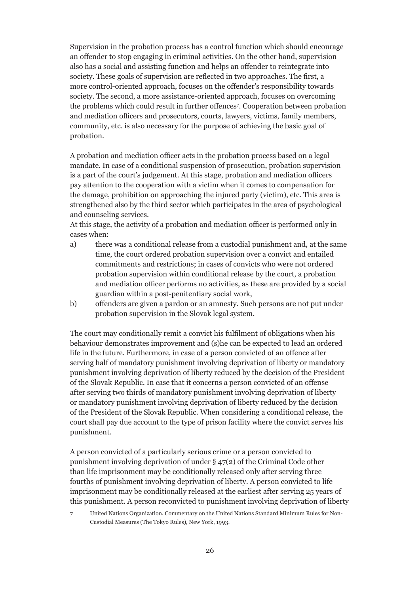Supervision in the probation process has a control function which should encourage an offender to stop engaging in criminal activities. On the other hand, supervision also has a social and assisting function and helps an offender to reintegrate into society. These goals of supervision are reflected in two approaches. The first, a more control-oriented approach, focuses on the offender's responsibility towards society. The second, a more assistance-oriented approach, focuses on overcoming the problems which could result in further offences<sup>7</sup> . Cooperation between probation and mediation officers and prosecutors, courts, lawyers, victims, family members, community, etc. is also necessary for the purpose of achieving the basic goal of probation.

A probation and mediation officer acts in the probation process based on a legal mandate. In case of a conditional suspension of prosecution, probation supervision is a part of the court's judgement. At this stage, probation and mediation officers pay attention to the cooperation with a victim when it comes to compensation for the damage, prohibition on approaching the injured party (victim), etc. This area is strengthened also by the third sector which participates in the area of psychological and counseling services.

At this stage, the activity of a probation and mediation officer is performed only in cases when:

- a) there was a conditional release from a custodial punishment and, at the same time, the court ordered probation supervision over a convict and entailed commitments and restrictions; in cases of convicts who were not ordered probation supervision within conditional release by the court, a probation and mediation officer performs no activities, as these are provided by a social guardian within a post-penitentiary social work,
- b) offenders are given a pardon or an amnesty. Such persons are not put under probation supervision in the Slovak legal system.

The court may conditionally remit a convict his fulfilment of obligations when his behaviour demonstrates improvement and (s)he can be expected to lead an ordered life in the future. Furthermore, in case of a person convicted of an offence after serving half of mandatory punishment involving deprivation of liberty or mandatory punishment involving deprivation of liberty reduced by the decision of the President of the Slovak Republic. In case that it concerns a person convicted of an offense after serving two thirds of mandatory punishment involving deprivation of liberty or mandatory punishment involving deprivation of liberty reduced by the decision of the President of the Slovak Republic. When considering a conditional release, the court shall pay due account to the type of prison facility where the convict serves his punishment.

A person convicted of a particularly serious crime or a person convicted to punishment involving deprivation of under § 47(2) of the Criminal Code other than life imprisonment may be conditionally released only after serving three fourths of punishment involving deprivation of liberty. A person convicted to life imprisonment may be conditionally released at the earliest after serving 25 years of this punishment. A person reconvicted to punishment involving deprivation of liberty

<sup>7</sup> United Nations Organization. Commentary on the United Nations Standard Minimum Rules for Non-Custodial Measures (The Tokyo Rules), New York, 1993.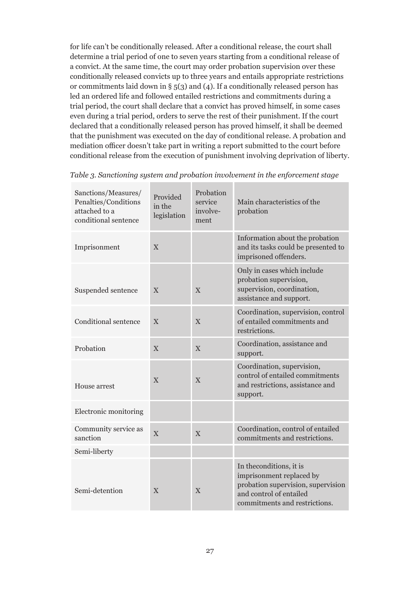for life can't be conditionally released. After a conditional release, the court shall determine a trial period of one to seven years starting from a conditional release of a convict. At the same time, the court may order probation supervision over these conditionally released convicts up to three years and entails appropriate restrictions or commitments laid down in § 5(3) and (4). If a conditionally released person has led an ordered life and followed entailed restrictions and commitments during a trial period, the court shall declare that a convict has proved himself, in some cases even during a trial period, orders to serve the rest of their punishment. If the court declared that a conditionally released person has proved himself, it shall be deemed that the punishment was executed on the day of conditional release. A probation and mediation officer doesn't take part in writing a report submitted to the court before conditional release from the execution of punishment involving deprivation of liberty.

| Sanctions/Measures/<br>Penalties/Conditions<br>attached to a<br>conditional sentence | Provided<br>in the<br>legislation | Probation<br>service<br>involve-<br>ment | Main characteristics of the<br>probation                                                                                                               |
|--------------------------------------------------------------------------------------|-----------------------------------|------------------------------------------|--------------------------------------------------------------------------------------------------------------------------------------------------------|
| Imprisonment                                                                         | X                                 |                                          | Information about the probation<br>and its tasks could be presented to<br>imprisoned offenders.                                                        |
| Suspended sentence                                                                   | X                                 | X                                        | Only in cases which include<br>probation supervision,<br>supervision, coordination,<br>assistance and support.                                         |
| Conditional sentence                                                                 | X                                 | X                                        | Coordination, supervision, control<br>of entailed commitments and<br>restrictions.                                                                     |
| Probation                                                                            | X                                 | $\overline{X}$                           | Coordination, assistance and<br>support.                                                                                                               |
| House arrest                                                                         | $\overline{X}$                    | X                                        | Coordination, supervision,<br>control of entailed commitments<br>and restrictions, assistance and<br>support.                                          |
| Electronic monitoring                                                                |                                   |                                          |                                                                                                                                                        |
| Community service as<br>sanction                                                     | X                                 | X                                        | Coordination, control of entailed<br>commitments and restrictions.                                                                                     |
| Semi-liberty                                                                         |                                   |                                          |                                                                                                                                                        |
| Semi-detention                                                                       | X                                 | X                                        | In the conditions, it is<br>imprisonment replaced by<br>probation supervision, supervision<br>and control of entailed<br>commitments and restrictions. |

*Table 3. Sanctioning system and probation involvement in the enforcement stage*

m in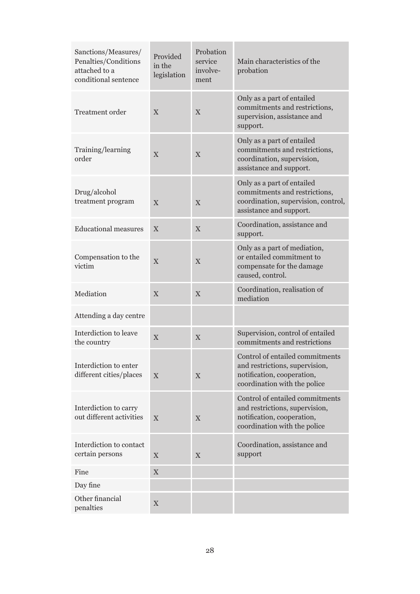| Sanctions/Measures/<br>Penalties/Conditions<br>attached to a<br>conditional sentence | Provided<br>in the<br>legislation | Probation<br>service<br>involve-<br>ment | Main characteristics of the<br>probation                                                                                        |
|--------------------------------------------------------------------------------------|-----------------------------------|------------------------------------------|---------------------------------------------------------------------------------------------------------------------------------|
| <b>Treatment order</b>                                                               | X                                 | $\overline{X}$                           | Only as a part of entailed<br>commitments and restrictions,<br>supervision, assistance and<br>support.                          |
| Training/learning<br>order                                                           | X                                 | $\overline{X}$                           | Only as a part of entailed<br>commitments and restrictions,<br>coordination, supervision,<br>assistance and support.            |
| Drug/alcohol<br>treatment program                                                    | $\overline{X}$                    | $\overline{X}$                           | Only as a part of entailed<br>commitments and restrictions,<br>coordination, supervision, control,<br>assistance and support.   |
| <b>Educational measures</b>                                                          | $\overline{X}$                    | $\overline{X}$                           | Coordination, assistance and<br>support.                                                                                        |
| Compensation to the<br>victim                                                        | X                                 | $\overline{X}$                           | Only as a part of mediation,<br>or entailed commitment to<br>compensate for the damage<br>caused, control.                      |
| Mediation                                                                            | $\boldsymbol{\mathrm{X}}$         | $\overline{X}$                           | Coordination, realisation of<br>mediation                                                                                       |
| Attending a day centre                                                               |                                   |                                          |                                                                                                                                 |
| Interdiction to leave<br>the country                                                 | X                                 | X                                        | Supervision, control of entailed<br>commitments and restrictions                                                                |
| Interdiction to enter<br>different cities/places                                     | X                                 | X                                        | Control of entailed commitments<br>and restrictions, supervision,<br>notification, cooperation,<br>coordination with the police |
| Interdiction to carry<br>out different activities                                    | X                                 | X                                        | Control of entailed commitments<br>and restrictions, supervision,<br>notification, cooperation,<br>coordination with the police |
| Interdiction to contact<br>certain persons                                           | X                                 | X                                        | Coordination, assistance and<br>support                                                                                         |
| Fine                                                                                 | $\mathbf X$                       |                                          |                                                                                                                                 |
| Day fine                                                                             |                                   |                                          |                                                                                                                                 |
| Other financial<br>penalties                                                         | $\mathbf X$                       |                                          |                                                                                                                                 |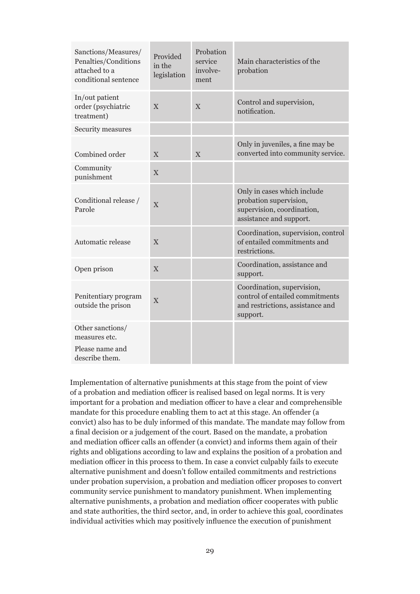| Sanctions/Measures/<br>Penalties/Conditions<br>attached to a<br>conditional sentence | Provided<br>in the<br>legislation | Probation<br>service<br>involve-<br>ment | Main characteristics of the<br>probation                                                                       |
|--------------------------------------------------------------------------------------|-----------------------------------|------------------------------------------|----------------------------------------------------------------------------------------------------------------|
| In/out patient<br>order (psychiatric<br>treatment)                                   | X                                 | X                                        | Control and supervision,<br>notification.                                                                      |
| Security measures                                                                    |                                   |                                          |                                                                                                                |
| Combined order                                                                       | $\overline{X}$                    | $\overline{X}$                           | Only in juveniles, a fine may be<br>converted into community service.                                          |
| Community<br>punishment                                                              | X                                 |                                          |                                                                                                                |
| Conditional release /<br>Parole                                                      | $\overline{X}$                    |                                          | Only in cases which include<br>probation supervision,<br>supervision, coordination,<br>assistance and support. |
| Automatic release                                                                    | X                                 |                                          | Coordination, supervision, control<br>of entailed commitments and<br>restrictions.                             |
| Open prison                                                                          | X                                 |                                          | Coordination, assistance and<br>support.                                                                       |
| Penitentiary program<br>outside the prison                                           | X                                 |                                          | Coordination, supervision,<br>control of entailed commitments<br>and restrictions, assistance and<br>support.  |
| Other sanctions/<br>measures etc.<br>Please name and<br>describe them.               |                                   |                                          |                                                                                                                |

Implementation of alternative punishments at this stage from the point of view of a probation and mediation officer is realised based on legal norms. It is very important for a probation and mediation officer to have a clear and comprehensible mandate for this procedure enabling them to act at this stage. An offender (a convict) also has to be duly informed of this mandate. The mandate may follow from a final decision or a judgement of the court. Based on the mandate, a probation and mediation officer calls an offender (a convict) and informs them again of their rights and obligations according to law and explains the position of a probation and mediation officer in this process to them. In case a convict culpably fails to execute alternative punishment and doesn't follow entailed commitments and restrictions under probation supervision, a probation and mediation officer proposes to convert community service punishment to mandatory punishment. When implementing alternative punishments, a probation and mediation officer cooperates with public and state authorities, the third sector, and, in order to achieve this goal, coordinates individual activities which may positively influence the execution of punishment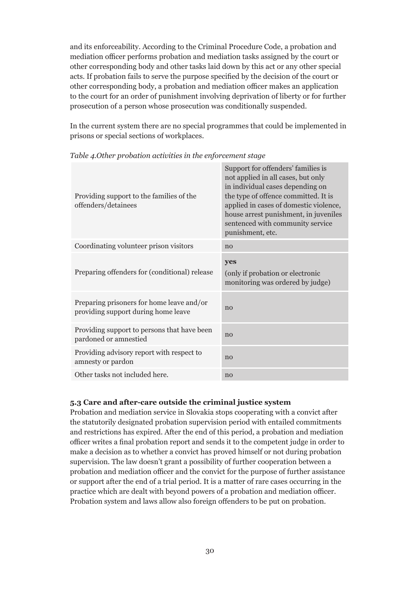and its enforceability. According to the Criminal Procedure Code, a probation and mediation officer performs probation and mediation tasks assigned by the court or other corresponding body and other tasks laid down by this act or any other special acts. If probation fails to serve the purpose specified by the decision of the court or other corresponding body, a probation and mediation officer makes an application to the court for an order of punishment involving deprivation of liberty or for further prosecution of a person whose prosecution was conditionally suspended.

In the current system there are no special programmes that could be implemented in prisons or special sections of workplaces.

| Providing support to the families of the<br>offenders/detainees                  | Support for offenders' families is<br>not applied in all cases, but only<br>in individual cases depending on<br>the type of offence committed. It is<br>applied in cases of domestic violence,<br>house arrest punishment, in juveniles<br>sentenced with community service<br>punishment, etc. |
|----------------------------------------------------------------------------------|-------------------------------------------------------------------------------------------------------------------------------------------------------------------------------------------------------------------------------------------------------------------------------------------------|
| Coordinating volunteer prison visitors                                           | no                                                                                                                                                                                                                                                                                              |
| Preparing offenders for (conditional) release                                    | yes<br>(only if probation or electronic<br>monitoring was ordered by judge)                                                                                                                                                                                                                     |
| Preparing prisoners for home leave and/or<br>providing support during home leave | no                                                                                                                                                                                                                                                                                              |
| Providing support to persons that have been<br>pardoned or amnestied             | no                                                                                                                                                                                                                                                                                              |
| Providing advisory report with respect to<br>amnesty or pardon                   | no                                                                                                                                                                                                                                                                                              |
| Other tasks not included here.                                                   | no                                                                                                                                                                                                                                                                                              |

*Table 4.Other probation activities in the enforcement stage*

#### **5.3 Care and after-care outside the criminal justice system**

Probation and mediation service in Slovakia stops cooperating with a convict after the statutorily designated probation supervision period with entailed commitments and restrictions has expired. After the end of this period, a probation and mediation officer writes a final probation report and sends it to the competent judge in order to make a decision as to whether a convict has proved himself or not during probation supervision. The law doesn't grant a possibility of further cooperation between a probation and mediation officer and the convict for the purpose of further assistance or support after the end of a trial period. It is a matter of rare cases occurring in the practice which are dealt with beyond powers of a probation and mediation officer. Probation system and laws allow also foreign offenders to be put on probation.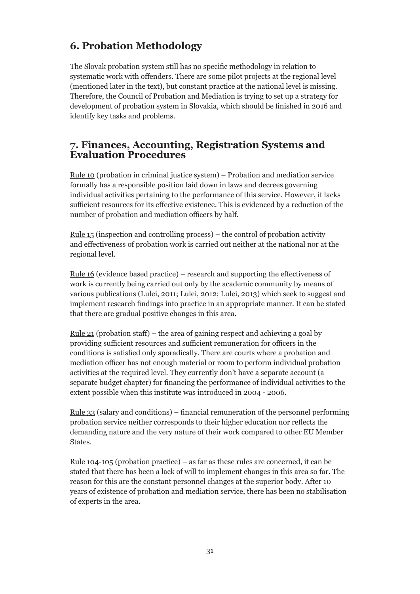## **6. Probation Methodology**

The Slovak probation system still has no specific methodology in relation to systematic work with offenders. There are some pilot projects at the regional level (mentioned later in the text), but constant practice at the national level is missing. Therefore, the Council of Probation and Mediation is trying to set up a strategy for development of probation system in Slovakia, which should be finished in 2016 and identify key tasks and problems.

## **7. Finances, Accounting, Registration Systems and Evaluation Procedures**

Rule 10 (probation in criminal justice system) – Probation and mediation service formally has a responsible position laid down in laws and decrees governing individual activities pertaining to the performance of this service. However, it lacks sufficient resources for its effective existence. This is evidenced by a reduction of the number of probation and mediation officers by half.

Rule 15 (inspection and controlling process) – the control of probation activity and effectiveness of probation work is carried out neither at the national nor at the regional level.

Rule 16 (evidence based practice) – research and supporting the effectiveness of work is currently being carried out only by the academic community by means of various publications (Lulei, 2011; Lulei, 2012; Lulei, 2013) which seek to suggest and implement research findings into practice in an appropriate manner. It can be stated that there are gradual positive changes in this area.

<u>Rule 21</u> (probation staff) – the area of gaining respect and achieving a goal by providing sufficient resources and sufficient remuneration for officers in the conditions is satisfied only sporadically. There are courts where a probation and mediation officer has not enough material or room to perform individual probation activities at the required level. They currently don't have a separate account (a separate budget chapter) for financing the performance of individual activities to the extent possible when this institute was introduced in 2004 - 2006.

Rule 33 (salary and conditions) – financial remuneration of the personnel performing probation service neither corresponds to their higher education nor reflects the demanding nature and the very nature of their work compared to other EU Member States.

<u>Rule 104-105</u> (probation practice) – as far as these rules are concerned, it can be stated that there has been a lack of will to implement changes in this area so far. The reason for this are the constant personnel changes at the superior body. After 10 years of existence of probation and mediation service, there has been no stabilisation of experts in the area.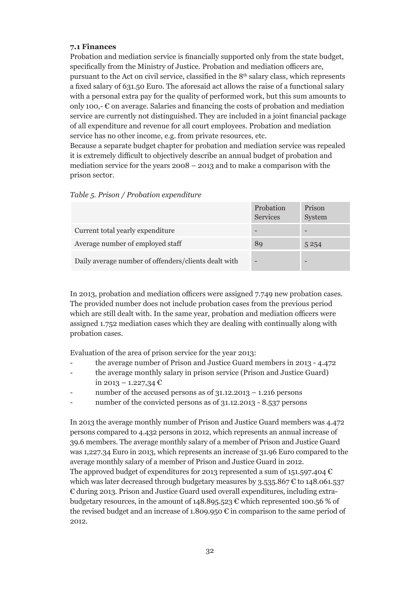#### **7.1 Finances**

Probation and mediation service is financially supported only from the state budget, specifically from the Ministry of Justice. Probation and mediation officers are, pursuant to the Act on civil service, classified in the 8th salary class, which represents a fixed salary of 631.50 Euro. The aforesaid act allows the raise of a functional salary with a personal extra pay for the quality of performed work, but this sum amounts to only 100,-  $\epsilon$  on average. Salaries and financing the costs of probation and mediation service are currently not distinguished. They are included in a joint financial package of all expenditure and revenue for all court employees. Probation and mediation service has no other income, e.g. from private resources, etc.

Because a separate budget chapter for probation and mediation service was repealed it is extremely difficult to objectively describe an annual budget of probation and mediation service for the years 2008 – 2013 and to make a comparison with the prison sector.

|                                                      | Probation<br><b>Services</b> | Prison<br>System |
|------------------------------------------------------|------------------------------|------------------|
| Current total yearly expenditure                     |                              |                  |
| Average number of employed staff                     | 89                           | 5 2 5 4          |
| Daily average number of offenders/clients dealt with |                              |                  |

#### *Table 5. Prison / Probation expenditure*

In 2013, probation and mediation officers were assigned 7.749 new probation cases. The provided number does not include probation cases from the previous period which are still dealt with. In the same year, probation and mediation officers were assigned 1.752 mediation cases which they are dealing with continually along with probation cases.

Evaluation of the area of prison service for the year 2013:

- the average number of Prison and Justice Guard members in 2013 4.472
- the average monthly salary in prison service (Prison and Justice Guard) in 2013 – 1.227,34 €
- number of the accused persons as of  $31.12.2013 1.216$  persons
- number of the convicted persons as of 31.12.2013 8.537 persons

In 2013 the average monthly number of Prison and Justice Guard members was 4.472 persons compared to 4.432 persons in 2012, which represents an annual increase of 39.6 members. The average monthly salary of a member of Prison and Justice Guard was 1,227.34 Euro in 2013, which represents an increase of 31.96 Euro compared to the average monthly salary of a member of Prison and Justice Guard in 2012. The approved budget of expenditures for 2013 represented a sum of 151.597.404  $\epsilon$ which was later decreased through budgetary measures by 3.535.867  $\epsilon$  to 148.061.537 € during 2013. Prison and Justice Guard used overall expenditures, including extrabudgetary resources, in the amount of 148.895.523  $\epsilon$  which represented 100.56 % of the revised budget and an increase of 1.809.950  $\epsilon$  in comparison to the same period of 2012.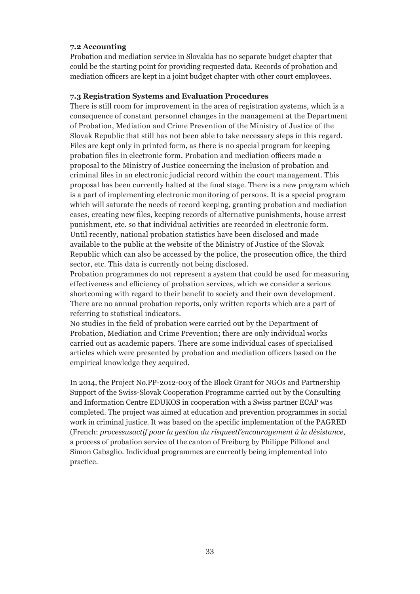#### **7.2 Accounting**

Probation and mediation service in Slovakia has no separate budget chapter that could be the starting point for providing requested data. Records of probation and mediation officers are kept in a joint budget chapter with other court employees.

#### **7.3 Registration Systems and Evaluation Procedures**

There is still room for improvement in the area of registration systems, which is a consequence of constant personnel changes in the management at the Department of Probation, Mediation and Crime Prevention of the Ministry of Justice of the Slovak Republic that still has not been able to take necessary steps in this regard. Files are kept only in printed form, as there is no special program for keeping probation files in electronic form. Probation and mediation officers made a proposal to the Ministry of Justice concerning the inclusion of probation and criminal files in an electronic judicial record within the court management. This proposal has been currently halted at the final stage. There is a new program which is a part of implementing electronic monitoring of persons. It is a special program which will saturate the needs of record keeping, granting probation and mediation cases, creating new files, keeping records of alternative punishments, house arrest punishment, etc. so that individual activities are recorded in electronic form. Until recently, national probation statistics have been disclosed and made available to the public at the website of the Ministry of Justice of the Slovak Republic which can also be accessed by the police, the prosecution office, the third sector, etc. This data is currently not being disclosed.

Probation programmes do not represent a system that could be used for measuring effectiveness and efficiency of probation services, which we consider a serious shortcoming with regard to their benefit to society and their own development. There are no annual probation reports, only written reports which are a part of referring to statistical indicators.

No studies in the field of probation were carried out by the Department of Probation, Mediation and Crime Prevention; there are only individual works carried out as academic papers. There are some individual cases of specialised articles which were presented by probation and mediation officers based on the empirical knowledge they acquired.

In 2014, the Project No.PP-2012-003 of the Block Grant for NGOs and Partnership Support of the Swiss-Slovak Cooperation Programme carried out by the Consulting and Information Centre EDUKOS in cooperation with a Swiss partner ECAP was completed. The project was aimed at education and prevention programmes in social work in criminal justice. It was based on the specific implementation of the PAGRED (French: *processusactif pour la gestion du risqueetl'encouragement à la désistance*, a process of probation service of the canton of Freiburg by Philippe Pillonel and Simon Gabaglio. Individual programmes are currently being implemented into practice.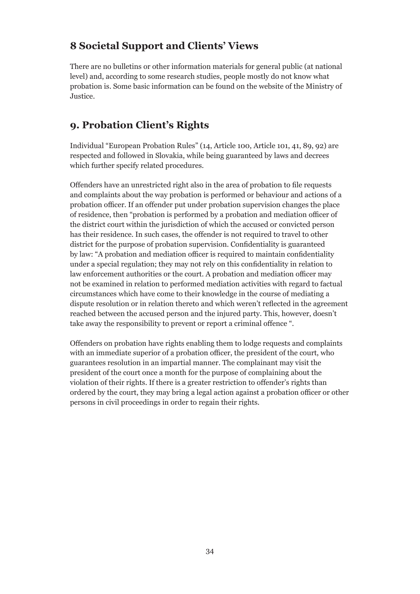## **8 Societal Support and Clients' Views**

There are no bulletins or other information materials for general public (at national level) and, according to some research studies, people mostly do not know what probation is. Some basic information can be found on the website of the Ministry of Justice.

## **9. Probation Client's Rights**

Individual "European Probation Rules" (14, Article 100, Article 101, 41, 89, 92) are respected and followed in Slovakia, while being guaranteed by laws and decrees which further specify related procedures.

Offenders have an unrestricted right also in the area of probation to file requests and complaints about the way probation is performed or behaviour and actions of a probation officer. If an offender put under probation supervision changes the place of residence, then "probation is performed by a probation and mediation officer of the district court within the jurisdiction of which the accused or convicted person has their residence. In such cases, the offender is not required to travel to other district for the purpose of probation supervision. Confidentiality is guaranteed by law: "A probation and mediation officer is required to maintain confidentiality under a special regulation; they may not rely on this confidentiality in relation to law enforcement authorities or the court. A probation and mediation officer may not be examined in relation to performed mediation activities with regard to factual circumstances which have come to their knowledge in the course of mediating a dispute resolution or in relation thereto and which weren't reflected in the agreement reached between the accused person and the injured party. This, however, doesn't take away the responsibility to prevent or report a criminal offence ".

Offenders on probation have rights enabling them to lodge requests and complaints with an immediate superior of a probation officer, the president of the court, who guarantees resolution in an impartial manner. The complainant may visit the president of the court once a month for the purpose of complaining about the violation of their rights. If there is a greater restriction to offender's rights than ordered by the court, they may bring a legal action against a probation officer or other persons in civil proceedings in order to regain their rights.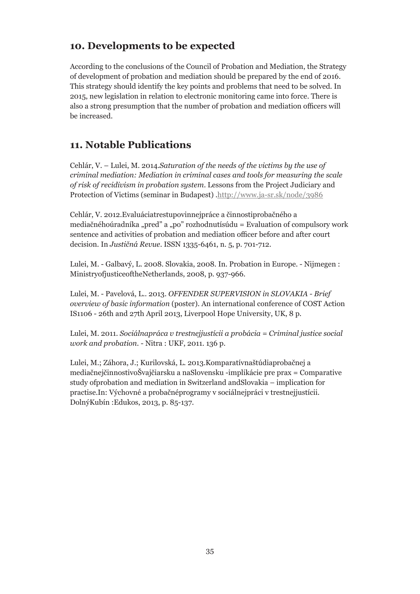## **10. Developments to be expected**

According to the conclusions of the Council of Probation and Mediation, the Strategy of development of probation and mediation should be prepared by the end of 2016. This strategy should identify the key points and problems that need to be solved. In 2015, new legislation in relation to electronic monitoring came into force. There is also a strong presumption that the number of probation and mediation officers will be increased.

## **11. Notable Publications**

Cehlár, V. – Lulei, M. 2014.*Saturation of the needs of the victims by the use of criminal mediation: Mediation in criminal cases and tools for measuring the scale of risk of recidivism in probation system*. Lessons from the Project Judiciary and Protection of Victims (seminar in Budapest) .http://www.ja-sr.sk/node/3986

Cehlár, V. 2012.Evaluáciatrestupovinnejpráce a činnostiprobačného a mediačnéhoúradníka "pred" a "po" rozhodnutísúdu = Evaluation of compulsory work sentence and activities of probation and mediation officer before and after court decision. In *Justičná Revue*. ISSN 1335-6461, n. 5, p. 701-712.

Lulei, M. - Galbavý, L. 2008. Slovakia, 2008. In. Probation in Europe. - Nijmegen : MinistryofjusticeoftheNetherlands, 2008, p. 937-966.

Lulei, M. - Pavelová, L.. 2013. *OFFENDER SUPERVISION in SLOVAKIA - Brief overview of basic information* (poster). An international conference of COST Action IS1106 - 26th and 27th April 2013, Liverpool Hope University, UK, 8 p.

Lulei, M. 2011. *Sociálnapráca v trestnejjustícii a probácia = Criminal justice social work and probation*. - Nitra : UKF, 2011. 136 p.

Lulei, M.; Záhora, J.; Kurilovská, L. 2013.Komparatívnaštúdiaprobačnej a mediačnejčinnostivoŠvajčiarsku a naSlovensku -implikácie pre prax = Comparative study ofprobation and mediation in Switzerland andSlovakia – implication for practise.In: Výchovné a probačnéprogramy v sociálnejpráci v trestnejjustícii. DolnýKubín :Edukos, 2013, p. 85-137.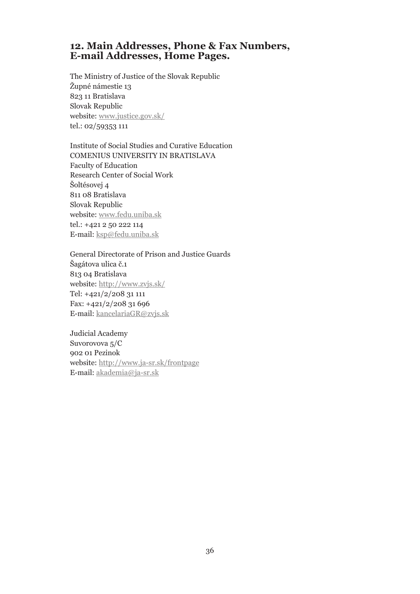## **12. Main Addresses, Phone & Fax Numbers, E-mail Addresses, Home Pages.**

The Ministry of Justice of the Slovak Republic Župné námestie 13 823 11 Bratislava Slovak Republic website: www.justice.gov.sk/ tel.: 02/59353 111

Institute of Social Studies and Curative Education COMENIUS UNIVERSITY IN BRATISLAVA Faculty of Education Research Center of Social Work Šoltésovej 4 811 08 Bratislava Slovak Republic website: www.fedu.uniba.sk tel.: +421 2 50 222 114 E-mail: ksp@fedu.uniba.sk

General Directorate of Prison and Justice Guards Šagátova ulica č.1 813 04 Bratislava website: http://www.zvjs.sk/ Tel: +421/2/208 31 111 Fax: +421/2/208 31 696 E-mail: kancelariaGR@zvjs.sk

Judicial Academy Suvorovova 5/C 902 01 Pezinok website: http://www.ja-sr.sk/frontpage E-mail: akademia@ja-sr.sk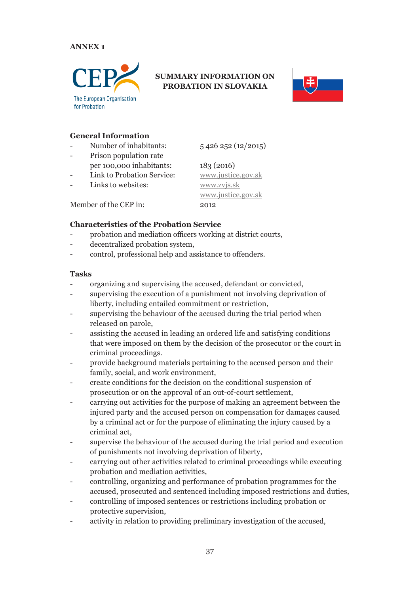#### **ANNEX 1**



### **SUMMARY INFORMATION ON PROBATION IN SLOVAKIA**



#### **General Information**

- Number of inhabitants:  $\frac{5426252(12/2015)}{252}$
- Prison population rate per 100,000 inhabitants: 183 (2016)
- 
- Links to websites: www.zvjs.sk

Link to Probation Service: www.justice.gov.sk www.justice.gov.sk

Member of the CEP in: 2012

#### **Characteristics of the Probation Service**

- probation and mediation officers working at district courts,
- decentralized probation system,
- control, professional help and assistance to offenders.

#### **Tasks**

- organizing and supervising the accused, defendant or convicted,
- supervising the execution of a punishment not involving deprivation of liberty, including entailed commitment or restriction,
- supervising the behaviour of the accused during the trial period when released on parole,
- assisting the accused in leading an ordered life and satisfying conditions that were imposed on them by the decision of the prosecutor or the court in criminal proceedings.
- provide background materials pertaining to the accused person and their family, social, and work environment,
- create conditions for the decision on the conditional suspension of prosecution or on the approval of an out-of-court settlement,
- carrying out activities for the purpose of making an agreement between the injured party and the accused person on compensation for damages caused by a criminal act or for the purpose of eliminating the injury caused by a criminal act,
- supervise the behaviour of the accused during the trial period and execution of punishments not involving deprivation of liberty,
- carrying out other activities related to criminal proceedings while executing probation and mediation activities,
- controlling, organizing and performance of probation programmes for the accused, prosecuted and sentenced including imposed restrictions and duties,
- controlling of imposed sentences or restrictions including probation or protective supervision,
- activity in relation to providing preliminary investigation of the accused,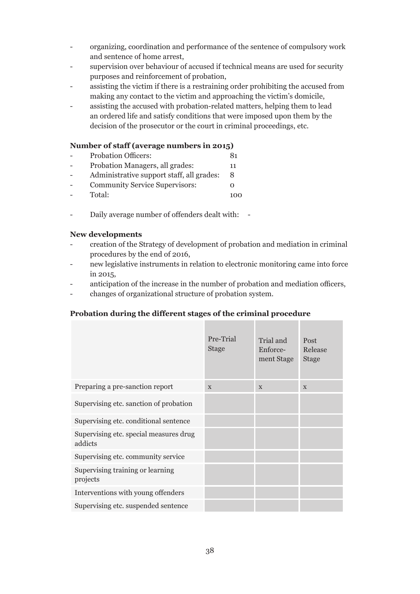- organizing, coordination and performance of the sentence of compulsory work and sentence of home arrest,
- supervision over behaviour of accused if technical means are used for security purposes and reinforcement of probation,
- assisting the victim if there is a restraining order prohibiting the accused from making any contact to the victim and approaching the victim's domicile,
- assisting the accused with probation-related matters, helping them to lead an ordered life and satisfy conditions that were imposed upon them by the decision of the prosecutor or the court in criminal proceedings, etc.

#### **Number of staff (average numbers in 2015)**

- Probation Officers: 81
- Probation Managers, all grades: 11
- Administrative support staff, all grades: 8
- Community Service Supervisors: 0
- Total: 100
- Daily average number of offenders dealt with: -

#### **New developments**

- creation of the Strategy of development of probation and mediation in criminal procedures by the end of 2016,
- new legislative instruments in relation to electronic monitoring came into force in 2015,
- anticipation of the increase in the number of probation and mediation officers,
- changes of organizational structure of probation system.

#### **Probation during the different stages of the criminal procedure**

|                                                   | Pre-Trial<br><b>Stage</b> | Trial and<br>Enforce-<br>ment Stage | Post<br>Release<br><b>Stage</b> |
|---------------------------------------------------|---------------------------|-------------------------------------|---------------------------------|
| Preparing a pre-sanction report                   | $\mathbf{x}$              | $\mathbf{x}$                        | $\mathbf{X}$                    |
| Supervising etc. sanction of probation            |                           |                                     |                                 |
| Supervising etc. conditional sentence             |                           |                                     |                                 |
| Supervising etc. special measures drug<br>addicts |                           |                                     |                                 |
| Supervising etc. community service                |                           |                                     |                                 |
| Supervising training or learning<br>projects      |                           |                                     |                                 |
| Interventions with young offenders                |                           |                                     |                                 |
| Supervising etc. suspended sentence               |                           |                                     |                                 |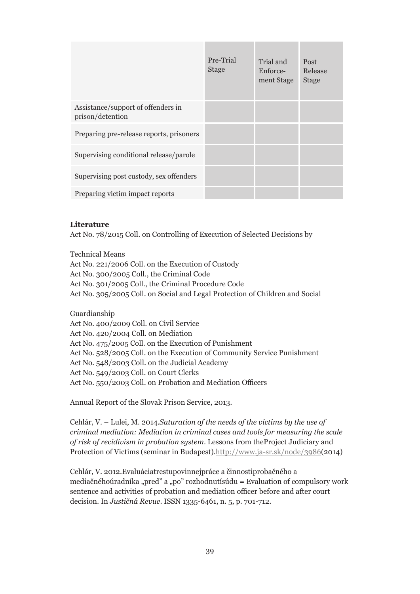|                                                        | Pre-Trial<br><b>Stage</b> | Trial and<br>Enforce-<br>ment Stage | Post<br>Release<br><b>Stage</b> |
|--------------------------------------------------------|---------------------------|-------------------------------------|---------------------------------|
| Assistance/support of offenders in<br>prison/detention |                           |                                     |                                 |
| Preparing pre-release reports, prisoners               |                           |                                     |                                 |
| Supervising conditional release/parole                 |                           |                                     |                                 |
| Supervising post custody, sex offenders                |                           |                                     |                                 |
| Preparing victim impact reports                        |                           |                                     |                                 |

#### **Literature**

Act No. 78/2015 Coll. on Controlling of Execution of Selected Decisions by

Technical Means

Act No. 221/2006 Coll. on the Execution of Custody Act No. 300/2005 Coll., the Criminal Code Act No. 301/2005 Coll., the Criminal Procedure Code Act No. 305/2005 Coll. on Social and Legal Protection of Children and Social

Guardianship Act No. 400/2009 Coll. on Civil Service Act No. 420/2004 Coll. on Mediation Act No. 475/2005 Coll. on the Execution of Punishment Act No. 528/2005 Coll. on the Execution of Community Service Punishment Act No. 548/2003 Coll. on the Judicial Academy Act No. 549/2003 Coll. on Court Clerks Act No. 550/2003 Coll. on Probation and Mediation Officers

Annual Report of the Slovak Prison Service, 2013.

Cehlár, V. – Lulei, M. 2014.*Saturation of the needs of the victims by the use of criminal mediation: Mediation in criminal cases and tools for measuring the scale of risk of recidivism in probation system*. Lessons from theProject Judiciary and Protection of Victims (seminar in Budapest).http://www.ja-sr.sk/node/3986(2014)

Cehlár, V. 2012.Evaluáciatrestupovinnejpráce a činnostiprobačného a mediačnéhoúradníka "pred" a "po" rozhodnutísúdu = Evaluation of compulsory work sentence and activities of probation and mediation officer before and after court decision. In *Justičná Revue*. ISSN 1335-6461, n. 5, p. 701-712.